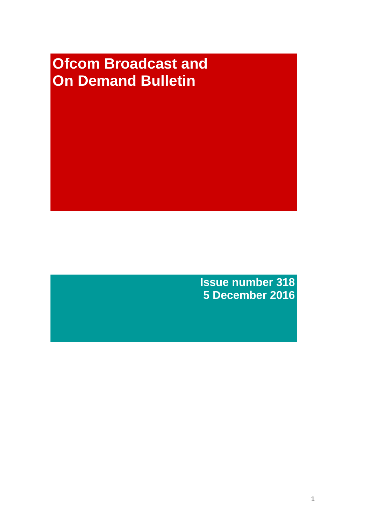# **Ofcom Broadcast and On Demand Bulletin**

**Issue number 318 5 December 2016**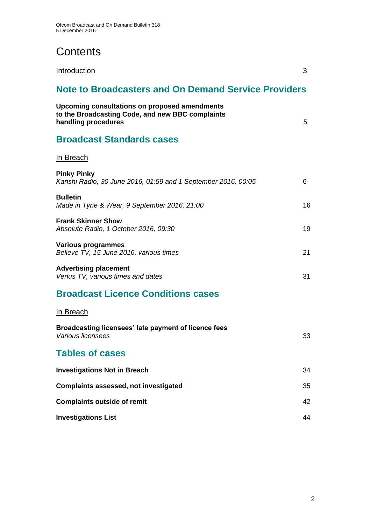# **Contents**

Introduction 3

# **Note to Broadcasters and On Demand Service Providers**

| Upcoming consultations on proposed amendments<br>to the Broadcasting Code, and new BBC complaints<br>handling procedures | 5  |
|--------------------------------------------------------------------------------------------------------------------------|----|
| <b>Broadcast Standards cases</b>                                                                                         |    |
| In Breach                                                                                                                |    |
| <b>Pinky Pinky</b><br>Kanshi Radio, 30 June 2016, 01:59 and 1 September 2016, 00:05                                      | 6  |
| <b>Bulletin</b><br>Made in Tyne & Wear, 9 September 2016, 21:00                                                          | 16 |
| <b>Frank Skinner Show</b><br>Absolute Radio, 1 October 2016, 09:30                                                       | 19 |
| <b>Various programmes</b><br>Believe TV, 15 June 2016, various times                                                     | 21 |
| <b>Advertising placement</b><br>Venus TV, various times and dates                                                        | 31 |
| <b>Broadcast Licence Conditions cases</b>                                                                                |    |
| <u>In Breach</u>                                                                                                         |    |
| Broadcasting licensees' late payment of licence fees<br>Various licensees                                                | 33 |
| <b>Tables of cases</b>                                                                                                   |    |
| <b>Investigations Not in Breach</b>                                                                                      | 34 |
| <b>Complaints assessed, not investigated</b>                                                                             | 35 |
| <b>Complaints outside of remit</b>                                                                                       | 42 |
| <b>Investigations List</b>                                                                                               | 44 |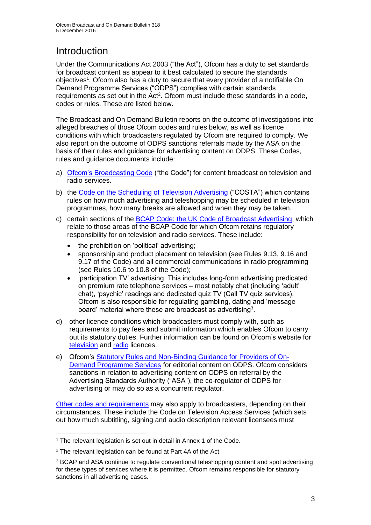# **Introduction**

Under the Communications Act 2003 ("the Act"), Ofcom has a duty to set standards for broadcast content as appear to it best calculated to secure the standards objectives<sup>1</sup>. Ofcom also has a duty to secure that every provider of a notifiable On Demand Programme Services ("ODPS") complies with certain standards requirements as set out in the Act<sup>2</sup>. Ofcom must include these standards in a code, codes or rules. These are listed below.

The Broadcast and On Demand Bulletin reports on the outcome of investigations into alleged breaches of those Ofcom codes and rules below, as well as licence conditions with which broadcasters regulated by Ofcom are required to comply. We also report on the outcome of ODPS sanctions referrals made by the ASA on the basis of their rules and guidance for advertising content on ODPS. These Codes, rules and guidance documents include:

- a) [Ofcom's Broadcasting Code](http://stakeholders.ofcom.org.uk/broadcasting/broadcast-codes/broadcast-code/) ("the Code") for content broadcast on television and radio services.
- b) the [Code on the Scheduling of Television Advertising](https://www.ofcom.org.uk/__data/assets/pdf_file/0014/32162/costa-april-2016.pdf) ("COSTA") which contains rules on how much advertising and teleshopping may be scheduled in television programmes, how many breaks are allowed and when they may be taken.
- c) certain sections of the [BCAP Code: the UK Code of Broadcast Advertising,](https://www.cap.org.uk/Advertising-Codes/Broadcast.aspx) which relate to those areas of the BCAP Code for which Ofcom retains regulatory responsibility for on television and radio services. These include:
	- the prohibition on 'political' advertising;
	- sponsorship and product placement on television (see Rules 9.13, 9.16 and 9.17 of the Code) and all commercial communications in radio programming (see Rules 10.6 to 10.8 of the Code);
	- 'participation TV' advertising. This includes long-form advertising predicated on premium rate telephone services – most notably chat (including 'adult' chat), 'psychic' readings and dedicated quiz TV (Call TV quiz services). Ofcom is also responsible for regulating gambling, dating and 'message board' material where these are broadcast as advertising<sup>3</sup>.
- d) other licence conditions which broadcasters must comply with, such as requirements to pay fees and submit information which enables Ofcom to carry out its statutory duties. Further information can be found on Ofcom's website for [television](http://licensing.ofcom.org.uk/tv-broadcast-licences/) and [radio](http://licensing.ofcom.org.uk/radio-broadcast-licensing/) licences.
- e) Ofcom's [Statutory Rules and Non-Binding Guidance for Providers of On-](http://stakeholders.ofcom.org.uk/binaries/broadcast/on-demand/rules-guidance/rules_and_guidance.pdf)[Demand Programme Services](http://stakeholders.ofcom.org.uk/binaries/broadcast/on-demand/rules-guidance/rules_and_guidance.pdf) for editorial content on ODPS. Ofcom considers sanctions in relation to advertising content on ODPS on referral by the Advertising Standards Authority ("ASA"), the co-regulator of ODPS for advertising or may do so as a concurrent regulator.

[Other codes and requirements](http://stakeholders.ofcom.org.uk/broadcasting/broadcast-codes/) may also apply to broadcasters, depending on their circumstances. These include the Code on Television Access Services (which sets out how much subtitling, signing and audio description relevant licensees must

<sup>&</sup>lt;sup>1</sup> The relevant legislation is set out in detail in Annex 1 of the Code.

<sup>&</sup>lt;sup>2</sup> The relevant legislation can be found at Part 4A of the Act.

<sup>3</sup> BCAP and ASA continue to regulate conventional teleshopping content and spot advertising for these types of services where it is permitted. Ofcom remains responsible for statutory sanctions in all advertising cases.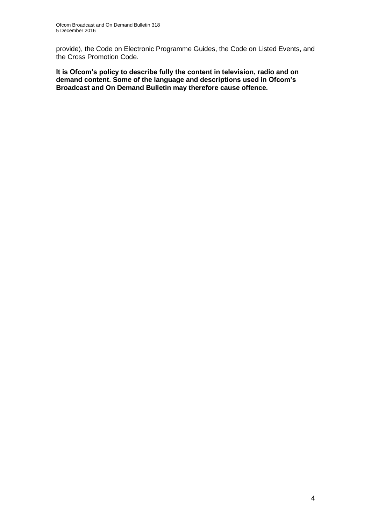provide), the Code on Electronic Programme Guides, the Code on Listed Events, and the Cross Promotion Code.

**It is Ofcom's policy to describe fully the content in television, radio and on demand content. Some of the language and descriptions used in Ofcom's Broadcast and On Demand Bulletin may therefore cause offence.**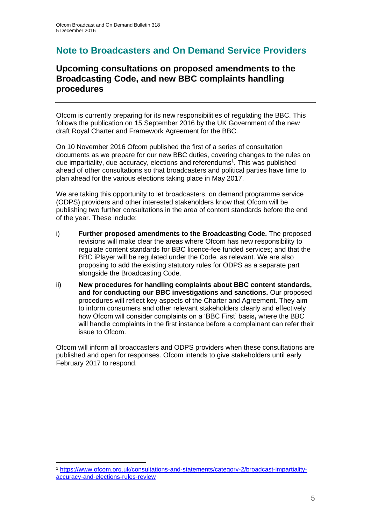### **Note to Broadcasters and On Demand Service Providers**

### **Upcoming consultations on proposed amendments to the Broadcasting Code, and new BBC complaints handling procedures**

Ofcom is currently preparing for its new responsibilities of regulating the BBC. This follows the publication on 15 September 2016 by the UK Government of the new draft Royal Charter and Framework Agreement for the BBC.

On 10 November 2016 Ofcom published the first of a series of consultation documents as we prepare for our new BBC duties, covering changes to the rules on due impartiality, due accuracy, elections and referendums<sup>1</sup>. This was published ahead of other consultations so that broadcasters and political parties have time to plan ahead for the various elections taking place in May 2017.

We are taking this opportunity to let broadcasters, on demand programme service (ODPS) providers and other interested stakeholders know that Ofcom will be publishing two further consultations in the area of content standards before the end of the year. These include:

- i) **Further proposed amendments to the Broadcasting Code.** The proposed revisions will make clear the areas where Ofcom has new responsibility to regulate content standards for BBC licence-fee funded services; and that the BBC iPlayer will be regulated under the Code, as relevant. We are also proposing to add the existing statutory rules for ODPS as a separate part alongside the Broadcasting Code.
- ii) **New procedures for handling complaints about BBC content standards, and for conducting our BBC investigations and sanctions.** Our proposed procedures will reflect key aspects of the Charter and Agreement. They aim to inform consumers and other relevant stakeholders clearly and effectively how Ofcom will consider complaints on a 'BBC First' basis**,** where the BBC will handle complaints in the first instance before a complainant can refer their issue to Ofcom.

Ofcom will inform all broadcasters and ODPS providers when these consultations are published and open for responses. Ofcom intends to give stakeholders until early February 2017 to respond.

<sup>1</sup> [https://www.ofcom.org.uk/consultations-and-statements/category-2/broadcast-impartiality](https://www.ofcom.org.uk/consultations-and-statements/category-2/broadcast-impartiality-accuracy-and-elections-rules-review)[accuracy-and-elections-rules-review](https://www.ofcom.org.uk/consultations-and-statements/category-2/broadcast-impartiality-accuracy-and-elections-rules-review)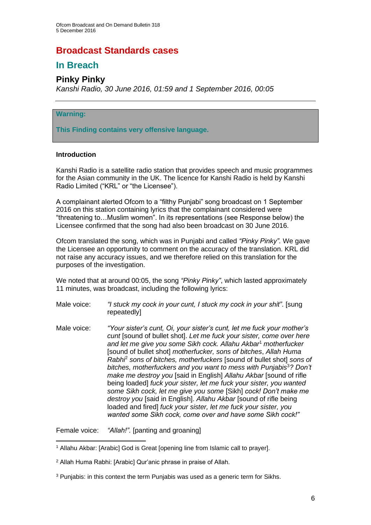### **Broadcast Standards cases**

### **In Breach**

### **Pinky Pinky**

*Kanshi Radio, 30 June 2016, 01:59 and 1 September 2016, 00:05*

#### **Warning:**

**This Finding contains very offensive language.**

#### **Introduction**

Kanshi Radio is a satellite radio station that provides speech and music programmes for the Asian community in the UK. The licence for Kanshi Radio is held by Kanshi Radio Limited ("KRL" or "the Licensee").

A complainant alerted Ofcom to a "filthy Punjabi" song broadcast on 1 September 2016 on this station containing lyrics that the complainant considered were "threatening to…Muslim women". In its representations (see Response below) the Licensee confirmed that the song had also been broadcast on 30 June 2016.

Ofcom translated the song, which was in Punjabi and called *"Pinky Pinky".* We gave the Licensee an opportunity to comment on the accuracy of the translation. KRL did not raise any accuracy issues, and we therefore relied on this translation for the purposes of the investigation.

We noted that at around 00:05, the song *"Pinky Pinky"*, which lasted approximately 11 minutes, was broadcast, including the following lyrics:

- Male voice: *"I stuck my cock in your cunt, I stuck my cock in your shit"*. [sung repeatedly]
- Male voice: *"Your sister's cunt, Oi, your sister's cunt, let me fuck your mother's cunt* [sound of bullet shot]. *Let me fuck your sister, come over here and let me give you some Sikh cock. Allahu Akbar*<sup>1</sup> *motherfucker*  [sound of bullet shot] *motherfucker, sons of bitches*, *Allah Huma Rabhi*<sup>2</sup> *sons of bitches, motherfuckers* [sound of bullet shot] *sons of bitches, motherfuckers and you want to mess with Punjabis*<sup>3</sup>*? Don't make me destroy you* [said in English] *Allahu Akbar* [sound of rifle being loaded] *fuck your sister, let me fuck your sister, you wanted some Sikh cock, let me give you some* [Sikh] *cock! Don't make me destroy you* [said in English]. *Allahu Akbar* [sound of rifle being loaded and fired] *fuck your sister, let me fuck your sister, you wanted some Sikh cock, come over and have some Sikh cock!"*

Female voice: *"Allah!".* [panting and groaning]

<sup>1</sup> Allahu Akbar: [Arabic] God is Great [opening line from Islamic call to prayer].

<sup>2</sup> Allah Huma Rabhi: [Arabic] Qur'anic phrase in praise of Allah.

<sup>3</sup> Punjabis: in this context the term Punjabis was used as a generic term for Sikhs.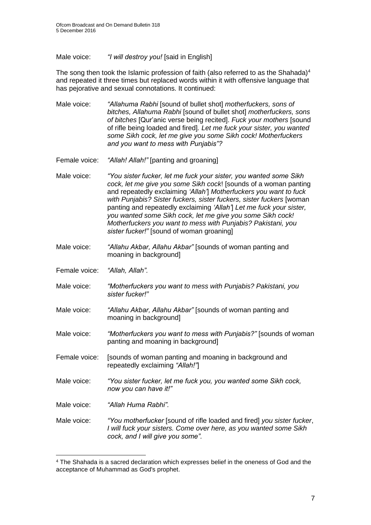Male voice: *"I will destroy you!* [said in English]

The song then took the Islamic profession of faith (also referred to as the Shahada)<sup>4</sup> and repeated it three times but replaced words within it with offensive language that has pejorative and sexual connotations. It continued:

- Male voice: *"Allahuma Rabhi* [sound of bullet shot] *motherfuckers, sons of bitches, Allahuma Rabhi* [sound of bullet shot] *motherfuckers, sons of bitches* [Qur'anic verse being recited]. *Fuck your mothers* [sound of rifle being loaded and fired]*. Let me fuck your sister, you wanted some Sikh cock, let me give you some Sikh cock! Motherfuckers and you want to mess with Punjabis"?*
- Female voice: *"Allah! Allah!"* [panting and groaning]
- Male voice: *"You sister fucker, let me fuck your sister, you wanted some Sikh cock, let me give you some Sikh cock*! [sounds of a woman panting and repeatedly exclaiming *'Allah'*] *Motherfuckers you want to fuck with Punjabis? Sister fuckers, sister fuckers, sister fuckers* [woman panting and repeatedly exclaiming *'Allah'*] *Let me fuck your sister, you wanted some Sikh cock, let me give you some Sikh cock! Motherfuckers you want to mess with Punjabis? Pakistani, you sister fucker!"* [sound of woman groaning]
- Male voice: *"Allahu Akbar, Allahu Akbar"* [sounds of woman panting and moaning in background]
- Female voice: *"Allah, Allah".*
- Male voice: *"Motherfuckers you want to mess with Punjabis? Pakistani, you sister fucker!"*
- Male voice: *"Allahu Akbar, Allahu Akbar"* [sounds of woman panting and moaning in background]
- Male voice: *"Motherfuckers you want to mess with Punjabis?"* [sounds of woman panting and moaning in background]
- Female voice: [sounds of woman panting and moaning in background and repeatedly exclaiming *"Allah!"*]
- Male voice: *"You sister fucker, let me fuck you, you wanted some Sikh cock, now you can have it!"*
- Male voice: *"Allah Huma Rabhi".*
- Male voice: *"You motherfucker* [sound of rifle loaded and fired] *you sister fucker*, *I will fuck your sisters. Come over here, as you wanted some Sikh cock, and I will give you some".*

<sup>4</sup> The Shahada is a sacred declaration which expresses belief in the oneness of God and the acceptance of Muhammad as God's prophet.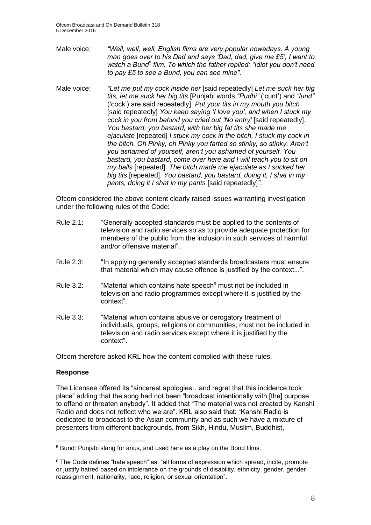- Male voice: *"Well, well, well, English films are very popular nowadays. A young man goes over to his Dad and says 'Dad, dad, give me £5', I want to*  watch a Bund<sup>5</sup> film. To which the father replied: "Idiot you don't need *to pay £5 to see a Bund, you can see mine".*
- Male voice: *"Let me put my cock inside her* [said repeatedly] *Let me suck her big tits, let me suck her big tits* [Punjabi words *"Pudhi"* ('cunt') and *"lund"* ('cock') are said repeatedly]. *Put your tits in my mouth you bitch* [said repeatedly] *You keep saying 'I love you', and when I stuck my cock in you from behind you cried out 'No entry'* [said repeatedly]. *You bastard, you bastard, with her big fat tits she made me ejaculate* [repeated] *I stuck my cock in the bitch, I stuck my cock in the bitch. Oh Pinky, oh Pinky you farted so stinky, so stinky. Aren't you ashamed of yourself, aren't you ashamed of yourself. You bastard, you bastard, come over here and I will teach you to sit on my balls* [repeated]. *The bitch made me ejaculate as I sucked her big tits* [repeated]. *You bastard, you bastard, doing it, I shat in my pants, doing it I shat in my pants* [said repeatedly]*"*.

Ofcom considered the above content clearly raised issues warranting investigation under the following rules of the Code:

- Rule 2.1: "Generally accepted standards must be applied to the contents of television and radio services so as to provide adequate protection for members of the public from the inclusion in such services of harmful and/or offensive material".
- Rule 2.3: "In applying generally accepted standards broadcasters must ensure that material which may cause offence is justified by the context...".
- Rule  $3.2$ : "Material which contains hate speech<sup>6</sup> must not be included in television and radio programmes except where it is justified by the context".
- Rule 3.3: "Material which contains abusive or derogatory treatment of individuals, groups, religions or communities, must not be included in television and radio services except where it is justified by the context".

Ofcom therefore asked KRL how the content complied with these rules.

#### **Response**

The Licensee offered its "sincerest apologies…and regret that this incidence took place" adding that the song had not been "broadcast intentionally with [the] purpose to offend or threaten anybody". It added that "The material was not created by Kanshi Radio and does not reflect who we are". KRL also said that: "Kanshi Radio is dedicated to broadcast to the Asian community and as such we have a mixture of presenters from different backgrounds, from Sikh, Hindu, Muslim, Buddhist,

<sup>5</sup> Bund: Punjabi slang for anus, and used here as a play on the Bond films.

<sup>6</sup> The Code defines "hate speech" as: "all forms of expression which spread, incite, promote or iustify hatred based on intolerance on the grounds of disability, ethnicity, gender, gender reassignment, nationality, race, religion, or sexual orientation".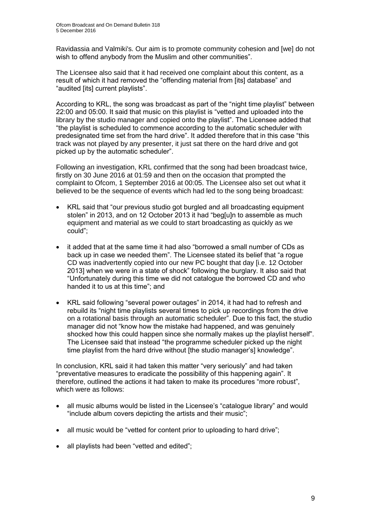Ravidassia and Valmiki's. Our aim is to promote community cohesion and [we] do not wish to offend anybody from the Muslim and other communities".

The Licensee also said that it had received one complaint about this content, as a result of which it had removed the "offending material from [its] database" and "audited [its] current playlists".

According to KRL, the song was broadcast as part of the "night time playlist" between 22:00 and 05:00. It said that music on this playlist is "vetted and uploaded into the library by the studio manager and copied onto the playlist". The Licensee added that "the playlist is scheduled to commence according to the automatic scheduler with predesignated time set from the hard drive". It added therefore that in this case "this track was not played by any presenter, it just sat there on the hard drive and got picked up by the automatic scheduler".

Following an investigation, KRL confirmed that the song had been broadcast twice, firstly on 30 June 2016 at 01:59 and then on the occasion that prompted the complaint to Ofcom, 1 September 2016 at 00:05. The Licensee also set out what it believed to be the sequence of events which had led to the song being broadcast:

- KRL said that "our previous studio got burgled and all broadcasting equipment stolen" in 2013, and on 12 October 2013 it had "beg[u]n to assemble as much equipment and material as we could to start broadcasting as quickly as we could";
- it added that at the same time it had also "borrowed a small number of CDs as back up in case we needed them". The Licensee stated its belief that "a rogue CD was inadvertently copied into our new PC bought that day [i.e. 12 October 2013] when we were in a state of shock" following the burglary. It also said that "Unfortunately during this time we did not catalogue the borrowed CD and who handed it to us at this time"; and
- KRL said following "several power outages" in 2014, it had had to refresh and rebuild its "night time playlists several times to pick up recordings from the drive on a rotational basis through an automatic scheduler". Due to this fact, the studio manager did not "know how the mistake had happened, and was genuinely shocked how this could happen since she normally makes up the playlist herself". The Licensee said that instead "the programme scheduler picked up the night time playlist from the hard drive without [the studio manager's] knowledge".

In conclusion, KRL said it had taken this matter "very seriously" and had taken "preventative measures to eradicate the possibility of this happening again". It therefore, outlined the actions it had taken to make its procedures "more robust", which were as follows:

- all music albums would be listed in the Licensee's "catalogue library" and would "include album covers depicting the artists and their music";
- all music would be "vetted for content prior to uploading to hard drive";
- all playlists had been "vetted and edited";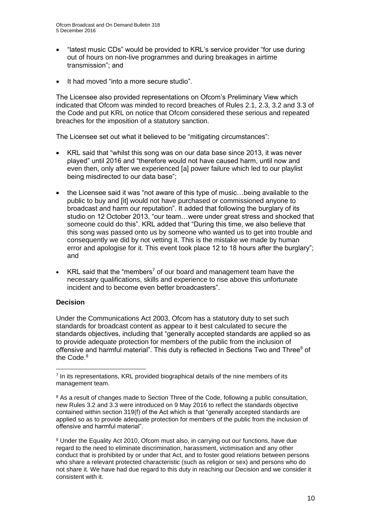- "latest music CDs" would be provided to KRL's service provider "for use during out of hours on non-live programmes and during breakages in airtime transmission"; and
- It had moved "into a more secure studio".

The Licensee also provided representations on Ofcom's Preliminary View which indicated that Ofcom was minded to record breaches of Rules 2.1, 2.3, 3.2 and 3.3 of the Code and put KRL on notice that Ofcom considered these serious and repeated breaches for the imposition of a statutory sanction.

The Licensee set out what it believed to be "mitigating circumstances":

- KRL said that "whilst this song was on our data base since 2013, it was never played" until 2016 and "therefore would not have caused harm, until now and even then, only after we experienced [a] power failure which led to our playlist being misdirected to our data base";
- the Licensee said it was "not aware of this type of music...being available to the public to buy and [it] would not have purchased or commissioned anyone to broadcast and harm our reputation". It added that following the burglary of its studio on 12 October 2013, "our team…were under great stress and shocked that someone could do this". KRL added that "During this time, we also believe that this song was passed onto us by someone who wanted us to get into trouble and consequently we did by not vetting it. This is the mistake we made by human error and apologise for it. This event took place 12 to 18 hours after the burglary"; and
- KRL said that the "members<sup>7</sup> of our board and management team have the necessary qualifications, skills and experience to rise above this unfortunate incident and to become even better broadcasters".

#### **Decision**

Under the Communications Act 2003, Ofcom has a statutory duty to set such standards for broadcast content as appear to it best calculated to secure the standards objectives, including that "generally accepted standards are applied so as to provide adequate protection for members of the public from the inclusion of offensive and harmful material". This duty is reflected in Sections Two and Three<sup>8</sup> of the Code.<sup>9</sup>

<sup>&</sup>lt;sup>7</sup> In its representations, KRL provided biographical details of the nine members of its management team.

<sup>&</sup>lt;sup>8</sup> As a result of changes made to Section Three of the Code, following a public consultation, new Rules 3.2 and 3.3 were introduced on 9 May 2016 to reflect the standards objective contained within section 319(f) of the Act which is that "generally accepted standards are applied so as to provide adequate protection for members of the public from the inclusion of offensive and harmful material".

<sup>9</sup> Under the Equality Act 2010, Ofcom must also, in carrying out our functions, have due regard to the need to eliminate discrimination, harassment, victimisation and any other conduct that is prohibited by or under that Act, and to foster good relations between persons who share a relevant protected characteristic (such as religion or sex) and persons who do not share it. We have had due regard to this duty in reaching our Decision and we consider it consistent with it.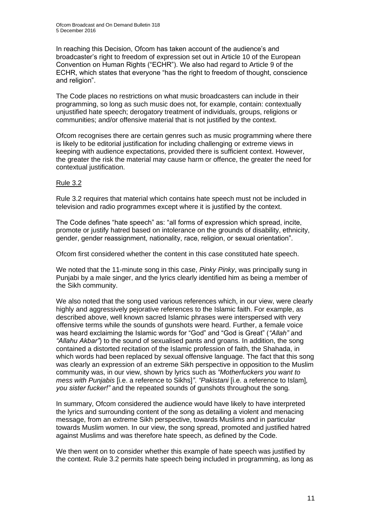In reaching this Decision, Ofcom has taken account of the audience's and broadcaster's right to freedom of expression set out in Article 10 of the European Convention on Human Rights ("ECHR"). We also had regard to Article 9 of the ECHR, which states that everyone "has the right to freedom of thought, conscience and religion".

The Code places no restrictions on what music broadcasters can include in their programming, so long as such music does not, for example, contain: contextually unjustified hate speech; derogatory treatment of individuals, groups, religions or communities; and/or offensive material that is not justified by the context.

Ofcom recognises there are certain genres such as music programming where there is likely to be editorial justification for including challenging or extreme views in keeping with audience expectations, provided there is sufficient context. However, the greater the risk the material may cause harm or offence, the greater the need for contextual justification.

#### Rule 3.2

Rule 3.2 requires that material which contains hate speech must not be included in television and radio programmes except where it is justified by the context.

The Code defines "hate speech" as: "all forms of expression which spread, incite, promote or justify hatred based on intolerance on the grounds of disability, ethnicity, gender, gender reassignment, nationality, race, religion, or sexual orientation".

Ofcom first considered whether the content in this case constituted hate speech.

We noted that the 11-minute song in this case, *Pinky Pinky*, was principally sung in Punjabi by a male singer, and the lyrics clearly identified him as being a member of the Sikh community.

We also noted that the song used various references which, in our view, were clearly highly and aggressively pejorative references to the Islamic faith. For example, as described above, well known sacred Islamic phrases were interspersed with very offensive terms while the sounds of gunshots were heard. Further, a female voice was heard exclaiming the Islamic words for "God" and "God is Great" (*"Allah"* and *"Allahu Akbar"*) to the sound of sexualised pants and groans. In addition, the song contained a distorted recitation of the Islamic profession of faith, the Shahada, in which words had been replaced by sexual offensive language. The fact that this song was clearly an expression of an extreme Sikh perspective in opposition to the Muslim community was, in our view, shown by lyrics such as *"Motherfuckers you want to mess with Punjabis* [i.e. a reference to Sikhs]*"*. *"Pakistani* [i.e. a reference to Islam]*, you sister fucker!"* and the repeated sounds of gunshots throughout the song*.*

In summary, Ofcom considered the audience would have likely to have interpreted the lyrics and surrounding content of the song as detailing a violent and menacing message, from an extreme Sikh perspective, towards Muslims and in particular towards Muslim women. In our view, the song spread, promoted and justified hatred against Muslims and was therefore hate speech, as defined by the Code.

We then went on to consider whether this example of hate speech was justified by the context. Rule 3.2 permits hate speech being included in programming, as long as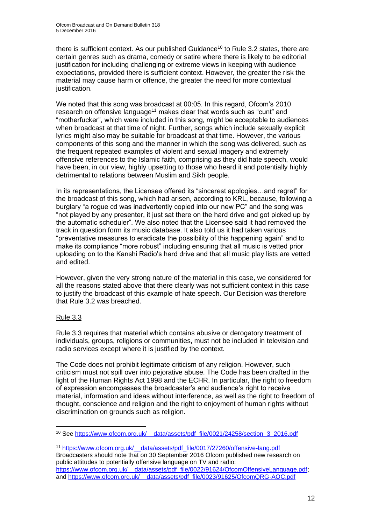there is sufficient context. As our published Guidance<sup>10</sup> to Rule 3.2 states, there are certain genres such as drama, comedy or satire where there is likely to be editorial justification for including challenging or extreme views in keeping with audience expectations, provided there is sufficient context. However, the greater the risk the material may cause harm or offence, the greater the need for more contextual justification.

We noted that this song was broadcast at 00:05. In this regard, Ofcom's 2010 research on offensive language<sup>11</sup> makes clear that words such as "cunt" and "motherfucker", which were included in this song, might be acceptable to audiences when broadcast at that time of night. Further, songs which include sexually explicit lyrics might also may be suitable for broadcast at that time. However, the various components of this song and the manner in which the song was delivered, such as the frequent repeated examples of violent and sexual imagery and extremely offensive references to the Islamic faith, comprising as they did hate speech, would have been, in our view, highly upsetting to those who heard it and potentially highly detrimental to relations between Muslim and Sikh people.

In its representations, the Licensee offered its "sincerest apologies...and regret" for the broadcast of this song, which had arisen, according to KRL, because, following a burglary "a rogue cd was inadvertently copied into our new PC" and the song was "not played by any presenter, it just sat there on the hard drive and got picked up by the automatic scheduler". We also noted that the Licensee said it had removed the track in question form its music database. It also told us it had taken various "preventative measures to eradicate the possibility of this happening again" and to make its compliance "more robust" including ensuring that all music is vetted prior uploading on to the Kanshi Radio's hard drive and that all music play lists are vetted and edited.

However, given the very strong nature of the material in this case, we considered for all the reasons stated above that there clearly was not sufficient context in this case to justify the broadcast of this example of hate speech. Our Decision was therefore that Rule 3.2 was breached.

#### Rule 3.3

Rule 3.3 requires that material which contains abusive or derogatory treatment of individuals, groups, religions or communities, must not be included in television and radio services except where it is justified by the context.

The Code does not prohibit legitimate criticism of any religion. However, such criticism must not spill over into pejorative abuse. The Code has been drafted in the light of the Human Rights Act 1998 and the ECHR. In particular, the right to freedom of expression encompasses the broadcaster's and audience's right to receive material, information and ideas without interference, as well as the right to freedom of thought, conscience and religion and the right to enjoyment of human rights without discrimination on grounds such as religion.

<sup>11</sup> [https://www.ofcom.org.uk/\\_\\_data/assets/pdf\\_file/0017/27260/offensive-lang.pdf](https://www.ofcom.org.uk/__data/assets/pdf_file/0017/27260/offensive-lang.pdf) Broadcasters should note that on 30 September 2016 Ofcom published new research on public attitudes to potentially offensive language on TV and radio: https://www.ofcom.org.uk/\_data/assets/pdf\_file/0022/91624/OfcomOffensiveLanguage.pdf; and [https://www.ofcom.org.uk/\\_\\_data/assets/pdf\\_file/0023/91625/OfcomQRG-AOC.pdf](https://www.ofcom.org.uk/__data/assets/pdf_file/0023/91625/OfcomQRG-AOC.pdf)

<sup>10</sup> See [https://www.ofcom.org.uk/\\_\\_data/assets/pdf\\_file/0021/24258/section\\_3\\_2016.pdf](https://www.ofcom.org.uk/__data/assets/pdf_file/0021/24258/section_3_2016.pdf)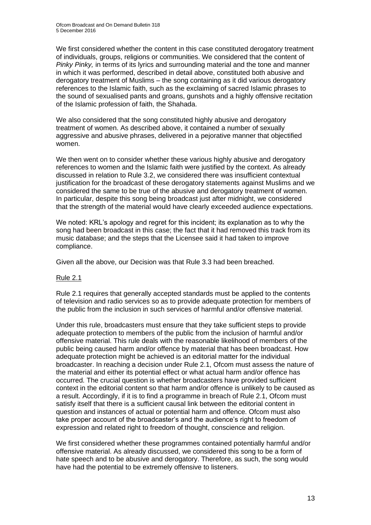We first considered whether the content in this case constituted derogatory treatment of individuals, groups, religions or communities. We considered that the content of *Pinky Pinky,* in terms of its lyrics and surrounding material and the tone and manner in which it was performed, described in detail above, constituted both abusive and derogatory treatment of Muslims – the song containing as it did various derogatory references to the Islamic faith, such as the exclaiming of sacred Islamic phrases to the sound of sexualised pants and groans, gunshots and a highly offensive recitation of the Islamic profession of faith, the Shahada.

We also considered that the song constituted highly abusive and derogatory treatment of women. As described above, it contained a number of sexually aggressive and abusive phrases, delivered in a pejorative manner that objectified women.

We then went on to consider whether these various highly abusive and derogatory references to women and the Islamic faith were justified by the context. As already discussed in relation to Rule 3.2, we considered there was insufficient contextual justification for the broadcast of these derogatory statements against Muslims and we considered the same to be true of the abusive and derogatory treatment of women. In particular, despite this song being broadcast just after midnight, we considered that the strength of the material would have clearly exceeded audience expectations.

We noted: KRL's apology and regret for this incident; its explanation as to why the song had been broadcast in this case; the fact that it had removed this track from its music database; and the steps that the Licensee said it had taken to improve compliance.

Given all the above, our Decision was that Rule 3.3 had been breached.

#### Rule 2.1

Rule 2.1 requires that generally accepted standards must be applied to the contents of television and radio services so as to provide adequate protection for members of the public from the inclusion in such services of harmful and/or offensive material.

Under this rule, broadcasters must ensure that they take sufficient steps to provide adequate protection to members of the public from the inclusion of harmful and/or offensive material. This rule deals with the reasonable likelihood of members of the public being caused harm and/or offence by material that has been broadcast. How adequate protection might be achieved is an editorial matter for the individual broadcaster. In reaching a decision under Rule 2.1, Ofcom must assess the nature of the material and either its potential effect or what actual harm and/or offence has occurred. The crucial question is whether broadcasters have provided sufficient context in the editorial content so that harm and/or offence is unlikely to be caused as a result. Accordingly, if it is to find a programme in breach of Rule 2.1, Ofcom must satisfy itself that there is a sufficient causal link between the editorial content in question and instances of actual or potential harm and offence. Ofcom must also take proper account of the broadcaster's and the audience's right to freedom of expression and related right to freedom of thought, conscience and religion.

We first considered whether these programmes contained potentially harmful and/or offensive material. As already discussed, we considered this song to be a form of hate speech and to be abusive and derogatory. Therefore, as such, the song would have had the potential to be extremely offensive to listeners.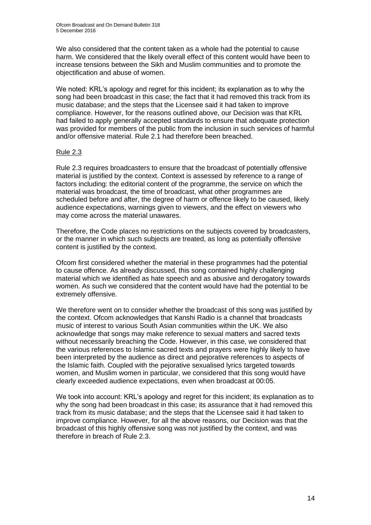We also considered that the content taken as a whole had the potential to cause harm. We considered that the likely overall effect of this content would have been to increase tensions between the Sikh and Muslim communities and to promote the objectification and abuse of women.

We noted: KRL's apology and regret for this incident; its explanation as to why the song had been broadcast in this case; the fact that it had removed this track from its music database; and the steps that the Licensee said it had taken to improve compliance. However, for the reasons outlined above, our Decision was that KRL had failed to apply generally accepted standards to ensure that adequate protection was provided for members of the public from the inclusion in such services of harmful and/or offensive material. Rule 2.1 had therefore been breached.

#### Rule 2.3

Rule 2.3 requires broadcasters to ensure that the broadcast of potentially offensive material is justified by the context. Context is assessed by reference to a range of factors including: the editorial content of the programme, the service on which the material was broadcast, the time of broadcast, what other programmes are scheduled before and after, the degree of harm or offence likely to be caused, likely audience expectations, warnings given to viewers, and the effect on viewers who may come across the material unawares.

Therefore, the Code places no restrictions on the subjects covered by broadcasters, or the manner in which such subjects are treated, as long as potentially offensive content is justified by the context.

Ofcom first considered whether the material in these programmes had the potential to cause offence. As already discussed, this song contained highly challenging material which we identified as hate speech and as abusive and derogatory towards women. As such we considered that the content would have had the potential to be extremely offensive.

We therefore went on to consider whether the broadcast of this song was justified by the context. Ofcom acknowledges that Kanshi Radio is a channel that broadcasts music of interest to various South Asian communities within the UK. We also acknowledge that songs may make reference to sexual matters and sacred texts without necessarily breaching the Code. However, in this case, we considered that the various references to Islamic sacred texts and prayers were highly likely to have been interpreted by the audience as direct and pejorative references to aspects of the Islamic faith. Coupled with the pejorative sexualised lyrics targeted towards women, and Muslim women in particular, we considered that this song would have clearly exceeded audience expectations, even when broadcast at 00:05.

We took into account: KRL's apology and regret for this incident; its explanation as to why the song had been broadcast in this case; its assurance that it had removed this track from its music database; and the steps that the Licensee said it had taken to improve compliance. However, for all the above reasons, our Decision was that the broadcast of this highly offensive song was not justified by the context, and was therefore in breach of Rule 2.3.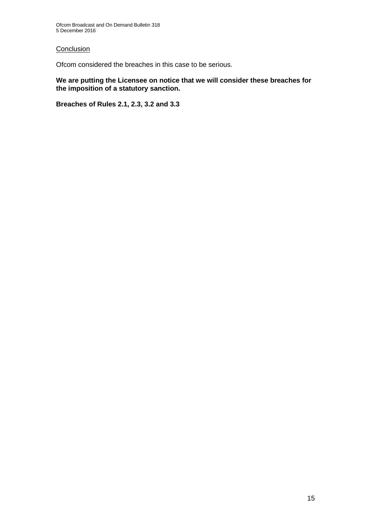#### **Conclusion**

Ofcom considered the breaches in this case to be serious.

**We are putting the Licensee on notice that we will consider these breaches for the imposition of a statutory sanction.**

**Breaches of Rules 2.1, 2.3, 3.2 and 3.3**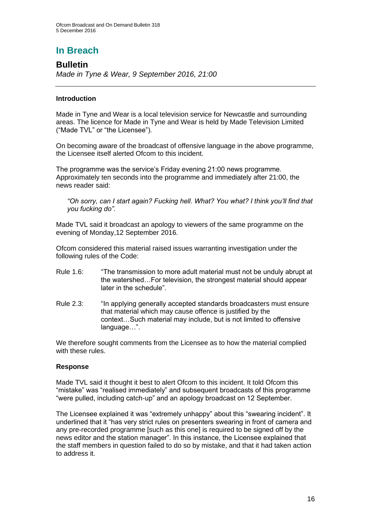# **In Breach**

### **Bulletin**

*Made in Tyne & Wear, 9 September 2016, 21:00*

#### **Introduction**

Made in Tyne and Wear is a local television service for Newcastle and surrounding areas. The licence for Made in Tyne and Wear is held by Made Television Limited ("Made TVL" or "the Licensee").

On becoming aware of the broadcast of offensive language in the above programme, the Licensee itself alerted Ofcom to this incident.

The programme was the service's Friday evening 21:00 news programme. Approximately ten seconds into the programme and immediately after 21:00, the news reader said:

*"Oh sorry, can I start again? Fucking hell. What? You what? I think you'll find that you fucking do".*

Made TVL said it broadcast an apology to viewers of the same programme on the evening of Monday,12 September 2016.

Ofcom considered this material raised issues warranting investigation under the following rules of the Code:

- Rule 1.6: "The transmission to more adult material must not be unduly abrupt at the watershed…For television, the strongest material should appear later in the schedule".
- Rule 2.3: "In applying generally accepted standards broadcasters must ensure that material which may cause offence is justified by the context…Such material may include, but is not limited to offensive language…".

We therefore sought comments from the Licensee as to how the material complied with these rules.

#### **Response**

Made TVL said it thought it best to alert Ofcom to this incident. It told Ofcom this "mistake" was "realised immediately" and subsequent broadcasts of this programme "were pulled, including catch-up" and an apology broadcast on 12 September.

The Licensee explained it was "extremely unhappy" about this "swearing incident". It underlined that it "has very strict rules on presenters swearing in front of camera and any pre-recorded programme [such as this one] is required to be signed off by the news editor and the station manager". In this instance, the Licensee explained that the staff members in question failed to do so by mistake, and that it had taken action to address it.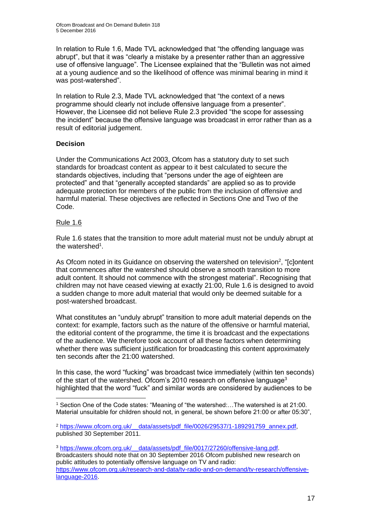In relation to Rule 1.6, Made TVL acknowledged that "the offending language was abrupt", but that it was "clearly a mistake by a presenter rather than an aggressive use of offensive language". The Licensee explained that the "Bulletin was not aimed at a young audience and so the likelihood of offence was minimal bearing in mind it was post-watershed".

In relation to Rule 2.3, Made TVL acknowledged that "the context of a news programme should clearly not include offensive language from a presenter". However, the Licensee did not believe Rule 2.3 provided "the scope for assessing the incident" because the offensive language was broadcast in error rather than as a result of editorial judgement.

#### **Decision**

Under the Communications Act 2003, Ofcom has a statutory duty to set such standards for broadcast content as appear to it best calculated to secure the standards objectives, including that "persons under the age of eighteen are protected" and that "generally accepted standards" are applied so as to provide adequate protection for members of the public from the inclusion of offensive and harmful material. These objectives are reflected in Sections One and Two of the Code.

#### Rule 1.6

Rule 1.6 states that the transition to more adult material must not be unduly abrupt at the watershed<sup>1</sup>.

As Ofcom noted in its Guidance on observing the watershed on television<sup>2</sup>, "[c]ontent that commences after the watershed should observe a smooth transition to more adult content. It should not commence with the strongest material". Recognising that children may not have ceased viewing at exactly 21:00, Rule 1.6 is designed to avoid a sudden change to more adult material that would only be deemed suitable for a post-watershed broadcast.

What constitutes an "unduly abrupt" transition to more adult material depends on the context: for example, factors such as the nature of the offensive or harmful material, the editorial content of the programme, the time it is broadcast and the expectations of the audience. We therefore took account of all these factors when determining whether there was sufficient justification for broadcasting this content approximately ten seconds after the 21:00 watershed.

In this case, the word "fucking" was broadcast twice immediately (within ten seconds) of the start of the watershed. Ofcom's 2010 research on offensive language<sup>3</sup> highlighted that the word "fuck" and similar words are considered by audiences to be

<sup>1</sup> Section One of the Code states: "Meaning of "the watershed:…The watershed is at 21:00. Material unsuitable for children should not, in general, be shown before 21:00 or after 05:30",

<sup>&</sup>lt;sup>2</sup> https://www.ofcom.org.uk/ data/assets/pdf\_file/0026/29537/1-189291759\_annex.pdf, published 30 September 2011.

<sup>&</sup>lt;sup>3</sup> https://www.ofcom.org.uk/ data/assets/pdf file/0017/27260/offensive-lang.pdf. Broadcasters should note that on 30 September 2016 Ofcom published new research on public attitudes to potentially offensive language on TV and radio: [https://www.ofcom.org.uk/research-and-data/tv-radio-and-on-demand/tv-research/offensive](https://www.ofcom.org.uk/research-and-data/tv-radio-and-on-demand/tv-research/offensive-language-2016)[language-2016.](https://www.ofcom.org.uk/research-and-data/tv-radio-and-on-demand/tv-research/offensive-language-2016)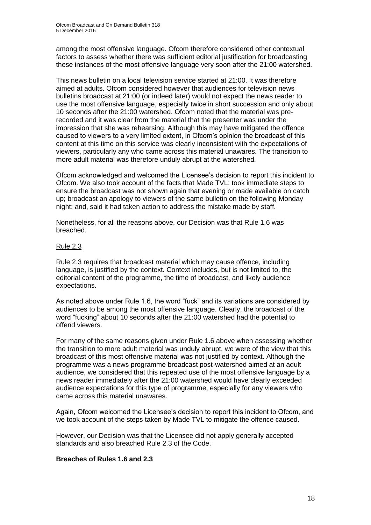among the most offensive language. Ofcom therefore considered other contextual factors to assess whether there was sufficient editorial justification for broadcasting these instances of the most offensive language very soon after the 21:00 watershed.

This news bulletin on a local television service started at 21:00. It was therefore aimed at adults. Ofcom considered however that audiences for television news bulletins broadcast at 21:00 (or indeed later) would not expect the news reader to use the most offensive language, especially twice in short succession and only about 10 seconds after the 21:00 watershed. Ofcom noted that the material was prerecorded and it was clear from the material that the presenter was under the impression that she was rehearsing. Although this may have mitigated the offence caused to viewers to a very limited extent, in Ofcom's opinion the broadcast of this content at this time on this service was clearly inconsistent with the expectations of viewers, particularly any who came across this material unawares. The transition to more adult material was therefore unduly abrupt at the watershed.

Ofcom acknowledged and welcomed the Licensee's decision to report this incident to Ofcom. We also took account of the facts that Made TVL: took immediate steps to ensure the broadcast was not shown again that evening or made available on catch up; broadcast an apology to viewers of the same bulletin on the following Monday night; and, said it had taken action to address the mistake made by staff.

Nonetheless, for all the reasons above, our Decision was that Rule 1.6 was breached.

#### Rule 2.3

Rule 2.3 requires that broadcast material which may cause offence, including language, is justified by the context. Context includes, but is not limited to, the editorial content of the programme, the time of broadcast, and likely audience expectations.

As noted above under Rule 1.6, the word "fuck" and its variations are considered by audiences to be among the most offensive language. Clearly, the broadcast of the word "fucking" about 10 seconds after the 21:00 watershed had the potential to offend viewers.

For many of the same reasons given under Rule 1.6 above when assessing whether the transition to more adult material was unduly abrupt, we were of the view that this broadcast of this most offensive material was not justified by context. Although the programme was a news programme broadcast post-watershed aimed at an adult audience, we considered that this repeated use of the most offensive language by a news reader immediately after the 21:00 watershed would have clearly exceeded audience expectations for this type of programme, especially for any viewers who came across this material unawares.

Again, Ofcom welcomed the Licensee's decision to report this incident to Ofcom, and we took account of the steps taken by Made TVL to mitigate the offence caused.

However, our Decision was that the Licensee did not apply generally accepted standards and also breached Rule 2.3 of the Code.

#### **Breaches of Rules 1.6 and 2.3**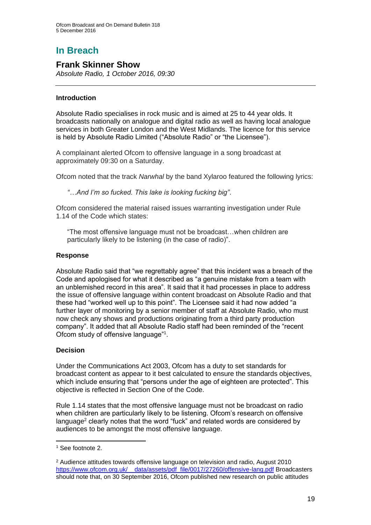# **In Breach**

### **Frank Skinner Show**

*Absolute Radio, 1 October 2016, 09:30*

#### **Introduction**

Absolute Radio specialises in rock music and is aimed at 25 to 44 year olds. It broadcasts nationally on analogue and digital radio as well as having local analogue services in both Greater London and the West Midlands. The licence for this service is held by Absolute Radio Limited ("Absolute Radio" or "the Licensee").

A complainant alerted Ofcom to offensive language in a song broadcast at approximately 09:30 on a Saturday.

Ofcom noted that the track *Narwhal* by the band Xylaroo featured the following lyrics:

*"…And I'm so fucked. This lake is looking fucking big"*.

Ofcom considered the material raised issues warranting investigation under Rule 1.14 of the Code which states:

"The most offensive language must not be broadcast…when children are particularly likely to be listening (in the case of radio)".

#### **Response**

Absolute Radio said that "we regrettably agree" that this incident was a breach of the Code and apologised for what it described as "a genuine mistake from a team with an unblemished record in this area". It said that it had processes in place to address the issue of offensive language within content broadcast on Absolute Radio and that these had "worked well up to this point". The Licensee said it had now added "a further layer of monitoring by a senior member of staff at Absolute Radio, who must now check any shows and productions originating from a third party production company". It added that all Absolute Radio staff had been reminded of the "recent Ofcom study of offensive language"<sup>1</sup> .

#### **Decision**

Under the Communications Act 2003, Ofcom has a duty to set standards for broadcast content as appear to it best calculated to ensure the standards objectives, which include ensuring that "persons under the age of eighteen are protected". This objective is reflected in Section One of the Code.

Rule 1.14 states that the most offensive language must not be broadcast on radio when children are particularly likely to be listening. Ofcom's research on offensive language<sup>2</sup> clearly notes that the word "fuck" and related words are considered by audiences to be amongst the most offensive language.

<sup>1</sup> See footnote 2.

<sup>2</sup> Audience attitudes towards offensive language on television and radio, August 2010 [https://www.ofcom.org.uk/\\_\\_data/assets/pdf\\_file/0017/27260/offensive-lang.pdf](https://www.ofcom.org.uk/__data/assets/pdf_file/0017/27260/offensive-lang.pdf) Broadcasters should note that, on 30 September 2016, Ofcom published new research on public attitudes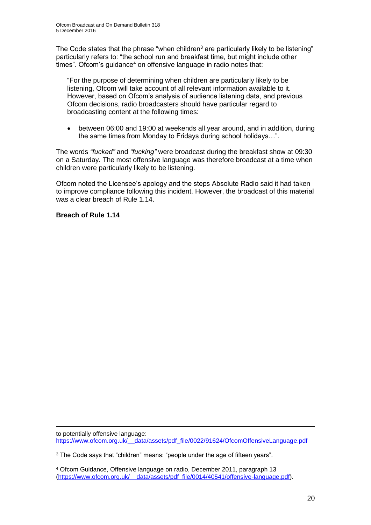The Code states that the phrase "when children<sup>3</sup> are particularly likely to be listening" particularly refers to: "the school run and breakfast time, but might include other times". Ofcom's guidance<sup>4</sup> on offensive language in radio notes that:

"For the purpose of determining when children are particularly likely to be listening, Ofcom will take account of all relevant information available to it. However, based on Ofcom's analysis of audience listening data, and previous Ofcom decisions, radio broadcasters should have particular regard to broadcasting content at the following times:

• between 06:00 and 19:00 at weekends all year around, and in addition, during the same times from Monday to Fridays during school holidays…".

The words *"fucked"* and *"fucking"* were broadcast during the breakfast show at 09:30 on a Saturday. The most offensive language was therefore broadcast at a time when children were particularly likely to be listening.

Ofcom noted the Licensee's apology and the steps Absolute Radio said it had taken to improve compliance following this incident. However, the broadcast of this material was a clear breach of Rule 1.14.

#### **Breach of Rule 1.14**

to potentially offensive language: [https://www.ofcom.org.uk/\\_\\_data/assets/pdf\\_file/0022/91624/OfcomOffensiveLanguage.pdf](https://www.ofcom.org.uk/__data/assets/pdf_file/0022/91624/OfcomOffensiveLanguage.pdf)

<sup>3</sup> The Code says that "children" means: "people under the age of fifteen years".

<sup>4</sup> Ofcom Guidance, Offensive language on radio, December 2011, paragraph 13 [\(https://www.ofcom.org.uk/\\_\\_data/assets/pdf\\_file/0014/40541/offensive-language.pdf\)](https://www.ofcom.org.uk/__data/assets/pdf_file/0014/40541/offensive-language.pdf).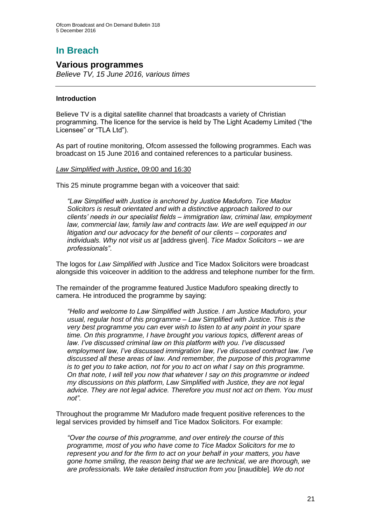# **In Breach**

#### **Various programmes**

*Believe TV, 15 June 2016, various times*

#### **Introduction**

Believe TV is a digital satellite channel that broadcasts a variety of Christian programming. The licence for the service is held by The Light Academy Limited ("the Licensee" or "TLA Ltd").

As part of routine monitoring, Ofcom assessed the following programmes. Each was broadcast on 15 June 2016 and contained references to a particular business.

#### *Law Simplified with Justice*, 09:00 and 16:30

This 25 minute programme began with a voiceover that said:

*"Law Simplified with Justice is anchored by Justice Maduforo. Tice Madox Solicitors is result orientated and with a distinctive approach tailored to our clients' needs in our specialist fields – immigration law, criminal law, employment*  law, commercial law, family law and contracts law. We are well equipped in our *litigation and our advocacy for the benefit of our clients – corporates and individuals. Why not visit us at* [address given]. *Tice Madox Solicitors – we are professionals"*.

The logos for *Law Simplified with Justice* and Tice Madox Solicitors were broadcast alongside this voiceover in addition to the address and telephone number for the firm.

The remainder of the programme featured Justice Maduforo speaking directly to camera. He introduced the programme by saying:

*"Hello and welcome to Law Simplified with Justice. I am Justice Maduforo, your usual, regular host of this programme – Law Simplified with Justice. This is the very best programme you can ever wish to listen to at any point in your spare time. On this programme, I have brought you various topics, different areas of law. I've discussed criminal law on this platform with you. I've discussed employment law, I've discussed immigration law, I've discussed contract law. I've discussed all these areas of law. And remember, the purpose of this programme is to get you to take action, not for you to act on what I say on this programme. On that note, I will tell you now that whatever I say on this programme or indeed my discussions on this platform, Law Simplified with Justice, they are not legal advice. They are not legal advice. Therefore you must not act on them. You must not".*

Throughout the programme Mr Maduforo made frequent positive references to the legal services provided by himself and Tice Madox Solicitors. For example:

*"Over the course of this programme, and over entirely the course of this programme, most of you who have come to Tice Madox Solicitors for me to represent you and for the firm to act on your behalf in your matters, you have gone home smiling, the reason being that we are technical, we are thorough, we are professionals. We take detailed instruction from you* [inaudible]*. We do not*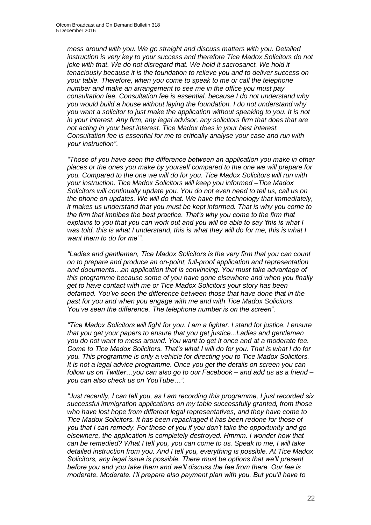*mess around with you. We go straight and discuss matters with you. Detailed instruction is very key to your success and therefore Tice Madox Solicitors do not joke with that. We do not disregard that. We hold it sacrosanct. We hold it tenaciously because it is the foundation to relieve you and to deliver success on your table. Therefore, when you come to speak to me or call the telephone number and make an arrangement to see me in the office you must pay consultation fee. Consultation fee is essential, because I do not understand why you would build a house without laying the foundation. I do not understand why you want a solicitor to just make the application without speaking to you. It is not in your interest. Any firm, any legal advisor, any solicitors firm that does that are not acting in your best interest. Tice Madox does in your best interest. Consultation fee is essential for me to critically analyse your case and run with your instruction"*.

*"Those of you have seen the difference between an application you make in other places or the ones you make by yourself compared to the one we will prepare for you. Compared to the one we will do for you. Tice Madox Solicitors will run with your instruction. Tice Madox Solicitors will keep you informed –Tice Madox Solicitors will continually update you. You do not even need to tell us, call us on the phone on updates. We will do that. We have the technology that immediately, it makes us understand that you must be kept informed. That is why you come to the firm that imbibes the best practice. That's why you come to the firm that explains to you that you can work out and you will be able to say 'this is what I was told, this is what I understand, this is what they will do for me, this is what I want them to do for me'"*.

*"Ladies and gentlemen, Tice Madox Solicitors is the very firm that you can count on to prepare and produce an on-point, full-proof application and representation and documents…an application that is convincing. You must take advantage of this programme because some of you have gone elsewhere and when you finally get to have contact with me or Tice Madox Solicitors your story has been defamed. You've seen the difference between those that have done that in the past for you and when you engage with me and with Tice Madox Solicitors. You've seen the difference. The telephone number is on the screen*".

*"Tice Madox Solicitors will fight for you. I am a fighter. I stand for justice. I ensure that you get your papers to ensure that you get justice...Ladies and gentlemen you do not want to mess around. You want to get it once and at a moderate fee. Come to Tice Madox Solicitors. That's what I will do for you. That is what I do for you. This programme is only a vehicle for directing you to Tice Madox Solicitors. It is not a legal advice programme. Once you get the details on screen you can follow us on Twitter…you can also go to our Facebook – and add us as a friend – you can also check us on YouTube…".*

*"Just recently, I can tell you, as I am recording this programme, I just recorded six successful immigration applications on my table successfully granted, from those who have lost hope from different legal representatives, and they have come to Tice Madox Solicitors. It has been repackaged it has been redone for those of you that I can remedy. For those of you if you don't take the opportunity and go elsewhere, the application is completely destroyed. Hmmm. I wonder how that can be remedied? What I tell you, you can come to us. Speak to me, I will take detailed instruction from you. And I tell you, everything is possible. At Tice Madox Solicitors, any legal issue is possible. There must be options that we'll present before you and you take them and we'll discuss the fee from there. Our fee is moderate. Moderate. I'll prepare also payment plan with you. But you'll have to*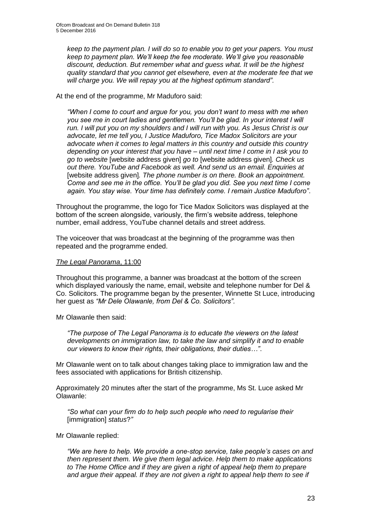*keep to the payment plan. I will do so to enable you to get your papers. You must keep to payment plan. We'll keep the fee moderate. We'll give you reasonable discount, deduction. But remember what and guess what. It will be the highest quality standard that you cannot get elsewhere, even at the moderate fee that we will charge you. We will repay you at the highest optimum standard".*

At the end of the programme, Mr Maduforo said:

*"When I come to court and argue for you, you don't want to mess with me when you see me in court ladies and gentlemen. You'll be glad. In your interest I will run. I will put you on my shoulders and I will run with you. As Jesus Christ is our advocate, let me tell you, I Justice Maduforo, Tice Madox Solicitors are your advocate when it comes to legal matters in this country and outside this country depending on your interest that you have – until next time I come in I ask you to go to website* [website address given] *go to* [website address given]*. Check us out there. YouTube and Facebook as well. And send us an email. Enquiries at*  [website address given]*. The phone number is on there. Book an appointment. Come and see me in the office. You'll be glad you did. See you next time I come again. You stay wise. Your time has definitely come. I remain Justice Maduforo"*.

Throughout the programme, the logo for Tice Madox Solicitors was displayed at the bottom of the screen alongside, variously, the firm's website address, telephone number, email address, YouTube channel details and street address.

The voiceover that was broadcast at the beginning of the programme was then repeated and the programme ended.

#### *The Legal Panorama*, 11:00

Throughout this programme, a banner was broadcast at the bottom of the screen which displayed variously the name, email, website and telephone number for Del & Co. Solicitors. The programme began by the presenter, Winnette St Luce, introducing her guest as *"Mr Dele Olawanle, from Del & Co. Solicitors".* 

Mr Olawanle then said:

*"The purpose of The Legal Panorama is to educate the viewers on the latest developments on immigration law, to take the law and simplify it and to enable our viewers to know their rights, their obligations, their duties…"*.

Mr Olawanle went on to talk about changes taking place to immigration law and the fees associated with applications for British citizenship.

Approximately 20 minutes after the start of the programme, Ms St. Luce asked Mr Olawanle:

*"So what can your firm do to help such people who need to regularise their* [immigration] *status*?*"*

Mr Olawanle replied:

*"We are here to help. We provide a one-stop service, take people's cases on and then represent them. We give them legal advice. Help them to make applications to The Home Office and if they are given a right of appeal help them to prepare and argue their appeal. If they are not given a right to appeal help them to see if*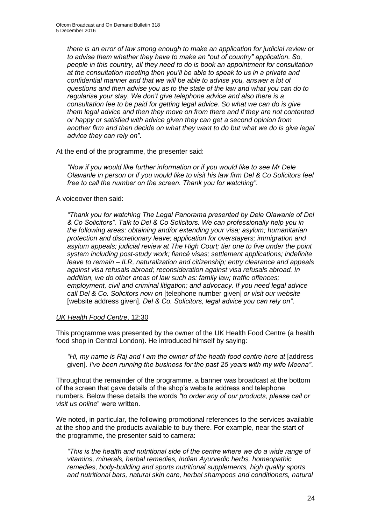*there is an error of law strong enough to make an application for judicial review or to advise them whether they have to make an "out of country" application. So, people in this country, all they need to do is book an appointment for consultation at the consultation meeting then you'll be able to speak to us in a private and confidential manner and that we will be able to advise you, answer a lot of questions and then advise you as to the state of the law and what you can do to regularise your stay. We don't give telephone advice and also there is a consultation fee to be paid for getting legal advice. So what we can do is give them legal advice and then they move on from there and if they are not contented or happy or satisfied with advice given they can get a second opinion from another firm and then decide on what they want to do but what we do is give legal advice they can rely on"*.

At the end of the programme, the presenter said:

*"Now if you would like further information or if you would like to see Mr Dele Olawanle in person or if you would like to visit his law firm Del & Co Solicitors feel free to call the number on the screen. Thank you for watching"*.

#### A voiceover then said:

*"Thank you for watching The Legal Panorama presented by Dele Olawanle of Del & Co Solicitors". Talk to Del & Co Solicitors. We can professionally help you in the following areas: obtaining and/or extending your visa; asylum; humanitarian protection and discretionary leave; application for overstayers; immigration and asylum appeals; judicial review at The High Court; tier one to five under the point system including post-study work; fiancé visas; settlement applications; indefinite leave to remain – ILR, naturalization and citizenship; entry clearance and appeals against visa refusals abroad; reconsideration against visa refusals abroad. In addition, we do other areas of law such as: family law; traffic offences; employment, civil and criminal litigation; and advocacy. If you need legal advice call Del & Co. Solicitors now on* [telephone number given] *or visit our website*  [website address given]*. Del & Co. Solicitors, legal advice you can rely on"*.

#### *UK Health Food Centre*, 12:30

This programme was presented by the owner of the UK Health Food Centre (a health food shop in Central London). He introduced himself by saying:

*"Hi, my name is Raj and I am the owner of the heath food centre here at* [address given]*. I've been running the business for the past 25 years with my wife Meena"*.

Throughout the remainder of the programme, a banner was broadcast at the bottom of the screen that gave details of the shop's website address and telephone numbers. Below these details the words *"to order any of our products, please call or visit us online*" were written.

We noted, in particular, the following promotional references to the services available at the shop and the products available to buy there. For example, near the start of the programme, the presenter said to camera:

*"This is the health and nutritional side of the centre where we do a wide range of vitamins, minerals, herbal remedies, Indian Ayurvedic herbs, homeopathic remedies, body-building and sports nutritional supplements, high quality sports and nutritional bars, natural skin care, herbal shampoos and conditioners, natural*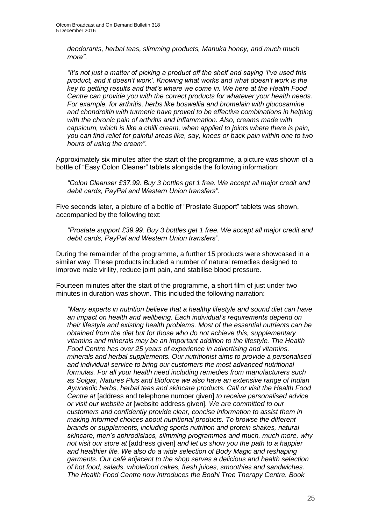*deodorants, herbal teas, slimming products, Manuka honey, and much much more".*

*"It's not just a matter of picking a product off the shelf and saying 'I've used this product, and it doesn't work'. Knowing what works and what doesn't work is the key to getting results and that's where we come in. We here at the Health Food Centre can provide you with the correct products for whatever your health needs. For example, for arthritis, herbs like boswellia and bromelain with glucosamine and chondroitin with turmeric have proved to be effective combinations in helping with the chronic pain of arthritis and inflammation. Also, creams made with capsicum, which is like a chilli cream, when applied to joints where there is pain, you can find relief for painful areas like, say, knees or back pain within one to two hours of using the cream"*.

Approximately six minutes after the start of the programme, a picture was shown of a bottle of "Easy Colon Cleaner" tablets alongside the following information:

*"Colon Cleanser £37.99. Buy 3 bottles get 1 free. We accept all major credit and debit cards, PayPal and Western Union transfers"*.

Five seconds later, a picture of a bottle of "Prostate Support" tablets was shown, accompanied by the following text:

*"Prostate support £39.99. Buy 3 bottles get 1 free. We accept all major credit and debit cards, PayPal and Western Union transfers"*.

During the remainder of the programme, a further 15 products were showcased in a similar way. These products included a number of natural remedies designed to improve male virility, reduce joint pain, and stabilise blood pressure.

Fourteen minutes after the start of the programme, a short film of just under two minutes in duration was shown. This included the following narration:

*"Many experts in nutrition believe that a healthy lifestyle and sound diet can have an impact on health and wellbeing. Each individual's requirements depend on their lifestyle and existing health problems. Most of the essential nutrients can be obtained from the diet but for those who do not achieve this, supplementary vitamins and minerals may be an important addition to the lifestyle. The Health Food Centre has over 25 years of experience in advertising and vitamins, minerals and herbal supplements. Our nutritionist aims to provide a personalised and individual service to bring our customers the most advanced nutritional formulas. For all your health need including remedies from manufacturers such as Solgar, Natures Plus and Bioforce we also have an extensive range of Indian Ayurvedic herbs, herbal teas and skincare products. Call or visit the Health Food Centre at* [address and telephone number given] *to receive personalised advice or visit our website at* [website address given]*. We are committed to our customers and confidently provide clear, concise information to assist them in making informed choices about nutritional products. To browse the different brands or supplements, including sports nutrition and protein shakes, natural skincare, men's aphrodisiacs, slimming programmes and much, much more, why not visit our store at* [address given] *and let us show you the path to a happier and healthier life. We also do a wide selection of Body Magic and reshaping garments. Our café adjacent to the shop serves a delicious and health selection of hot food, salads, wholefood cakes, fresh juices, smoothies and sandwiches. The Health Food Centre now introduces the Bodhi Tree Therapy Centre. Book*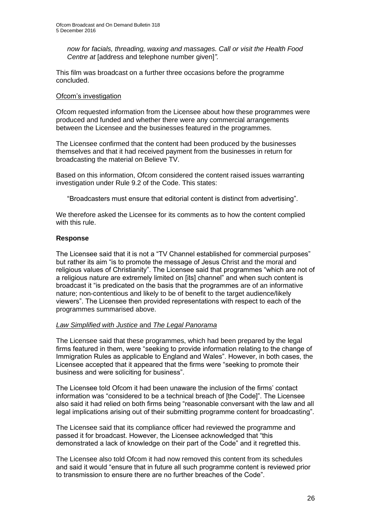*now for facials, threading, waxing and massages. Call or visit the Health Food Centre at* [address and telephone number given]*".*

This film was broadcast on a further three occasions before the programme concluded.

#### Ofcom's investigation

Ofcom requested information from the Licensee about how these programmes were produced and funded and whether there were any commercial arrangements between the Licensee and the businesses featured in the programmes.

The Licensee confirmed that the content had been produced by the businesses themselves and that it had received payment from the businesses in return for broadcasting the material on Believe TV.

Based on this information, Ofcom considered the content raised issues warranting investigation under Rule 9.2 of the Code. This states:

"Broadcasters must ensure that editorial content is distinct from advertising".

We therefore asked the Licensee for its comments as to how the content complied with this rule.

#### **Response**

The Licensee said that it is not a "TV Channel established for commercial purposes" but rather its aim "is to promote the message of Jesus Christ and the moral and religious values of Christianity". The Licensee said that programmes "which are not of a religious nature are extremely limited on [its] channel" and when such content is broadcast it "is predicated on the basis that the programmes are of an informative nature; non-contentious and likely to be of benefit to the target audience/likely viewers". The Licensee then provided representations with respect to each of the programmes summarised above.

#### *Law Simplified with Justice* and *The Legal Panorama*

The Licensee said that these programmes, which had been prepared by the legal firms featured in them, were "seeking to provide information relating to the change of Immigration Rules as applicable to England and Wales". However, in both cases, the Licensee accepted that it appeared that the firms were "seeking to promote their business and were soliciting for business".

The Licensee told Ofcom it had been unaware the inclusion of the firms' contact information was "considered to be a technical breach of [the Code]". The Licensee also said it had relied on both firms being "reasonable conversant with the law and all legal implications arising out of their submitting programme content for broadcasting".

The Licensee said that its compliance officer had reviewed the programme and passed it for broadcast. However, the Licensee acknowledged that "this demonstrated a lack of knowledge on their part of the Code" and it regretted this.

The Licensee also told Ofcom it had now removed this content from its schedules and said it would "ensure that in future all such programme content is reviewed prior to transmission to ensure there are no further breaches of the Code".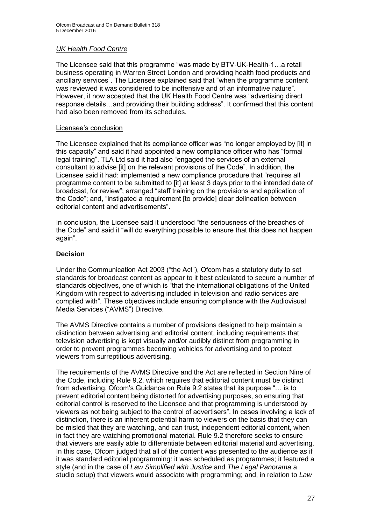#### *UK Health Food Centre*

The Licensee said that this programme "was made by BTV-UK-Health-1…a retail business operating in Warren Street London and providing health food products and ancillary services". The Licensee explained said that "when the programme content was reviewed it was considered to be inoffensive and of an informative nature". However, it now accepted that the UK Health Food Centre was "advertising direct response details…and providing their building address". It confirmed that this content had also been removed from its schedules.

#### Licensee's conclusion

The Licensee explained that its compliance officer was "no longer employed by [it] in this capacity" and said it had appointed a new compliance officer who has "formal legal training". TLA Ltd said it had also "engaged the services of an external consultant to advise [it] on the relevant provisions of the Code". In addition, the Licensee said it had: implemented a new compliance procedure that "requires all programme content to be submitted to [it] at least 3 days prior to the intended date of broadcast, for review"; arranged "staff training on the provisions and application of the Code"; and, "instigated a requirement [to provide] clear delineation between editorial content and advertisements".

In conclusion, the Licensee said it understood "the seriousness of the breaches of the Code" and said it "will do everything possible to ensure that this does not happen again".

#### **Decision**

Under the Communication Act 2003 ("the Act"), Ofcom has a statutory duty to set standards for broadcast content as appear to it best calculated to secure a number of standards objectives, one of which is "that the international obligations of the United Kingdom with respect to advertising included in television and radio services are complied with". These objectives include ensuring compliance with the Audiovisual Media Services ("AVMS") Directive.

The AVMS Directive contains a number of provisions designed to help maintain a distinction between advertising and editorial content, including requirements that television advertising is kept visually and/or audibly distinct from programming in order to prevent programmes becoming vehicles for advertising and to protect viewers from surreptitious advertising.

The requirements of the AVMS Directive and the Act are reflected in Section Nine of the Code, including Rule 9.2, which requires that editorial content must be distinct from advertising. Ofcom's Guidance on Rule 9.2 states that its purpose "… is to prevent editorial content being distorted for advertising purposes, so ensuring that editorial control is reserved to the Licensee and that programming is understood by viewers as not being subject to the control of advertisers". In cases involving a lack of distinction, there is an inherent potential harm to viewers on the basis that they can be misled that they are watching, and can trust, independent editorial content, when in fact they are watching promotional material. Rule 9.2 therefore seeks to ensure that viewers are easily able to differentiate between editorial material and advertising. In this case, Ofcom judged that all of the content was presented to the audience as if it was standard editorial programming: it was scheduled as programmes; it featured a style (and in the case of *Law Simplified with Justice* and *The Legal Panorama* a studio setup) that viewers would associate with programming; and, in relation to *Law*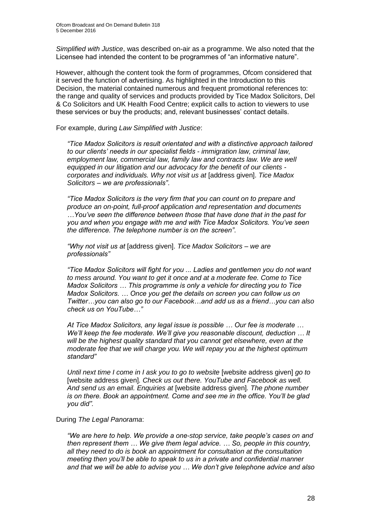*Simplified with Justice*, was described on-air as a programme. We also noted that the Licensee had intended the content to be programmes of "an informative nature".

However, although the content took the form of programmes, Ofcom considered that it served the function of advertising. As highlighted in the Introduction to this Decision, the material contained numerous and frequent promotional references to: the range and quality of services and products provided by Tice Madox Solicitors, Del & Co Solicitors and UK Health Food Centre; explicit calls to action to viewers to use these services or buy the products; and, relevant businesses' contact details.

For example, during *Law Simplified with Justice*:

*"Tice Madox Solicitors is result orientated and with a distinctive approach tailored to our clients' needs in our specialist fields - immigration law, criminal law, employment law, commercial law, family law and contracts law. We are well equipped in our litigation and our advocacy for the benefit of our clients corporates and individuals. Why not visit us at* [address given]. *Tice Madox Solicitors – we are professionals"*.

*"Tice Madox Solicitors is the very firm that you can count on to prepare and produce an on-point, full-proof application and representation and documents …You've seen the difference between those that have done that in the past for you and when you engage with me and with Tice Madox Solicitors. You've seen the difference. The telephone number is on the screen"*.

*"Why not visit us at* [address given]. *Tice Madox Solicitors – we are professionals"*

*"Tice Madox Solicitors will fight for you ... Ladies and gentlemen you do not want to mess around. You want to get it once and at a moderate fee. Come to Tice Madox Solicitors … This programme is only a vehicle for directing you to Tice Madox Solicitors. … Once you get the details on screen you can follow us on Twitter…you can also go to our Facebook…and add us as a friend…you can also check us on YouTube…"*

*At Tice Madox Solicitors, any legal issue is possible … Our fee is moderate … We'll keep the fee moderate. We'll give you reasonable discount, deduction … It will be the highest quality standard that you cannot get elsewhere, even at the moderate fee that we will charge you. We will repay you at the highest optimum standard"*

*Until next time I come in I ask you to go to website* [website address given] *go to*  [website address given]. Check us out there. YouTube and Facebook as well. *And send us an email. Enquiries at* [website address given]*. The phone number is on there. Book an appointment. Come and see me in the office. You'll be glad you did".*

During *The Legal Panorama*:

*"We are here to help. We provide a one-stop service, take people's cases on and then represent them … We give them legal advice. … So, people in this country, all they need to do is book an appointment for consultation at the consultation meeting then you'll be able to speak to us in a private and confidential manner and that we will be able to advise you … We don't give telephone advice and also*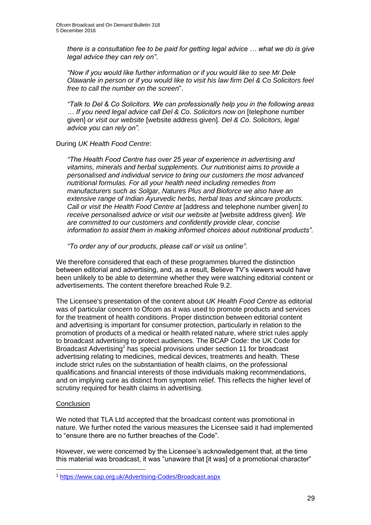*there is a consultation fee to be paid for getting legal advice … what we do is give legal advice they can rely on"*.

*"Now if you would like further information or if you would like to see Mr Dele Olawanle in person or if you would like to visit his law firm Del & Co Solicitors feel free to call the number on the screen*".

*"Talk to Del & Co Solicitors. We can professionally help you in the following areas … If you need legal advice call Del & Co. Solicitors now on* [telephone number given] *or visit our website* [website address given]*. Del & Co. Solicitors, legal advice you can rely on"*.

#### During *UK Health Food Centre*:

*"The Health Food Centre has over 25 year of experience in advertising and vitamins, minerals and herbal supplements. Our nutritionist aims to provide a personalised and individual service to bring our customers the most advanced nutritional formulas. For all your health need including remedies from manufacturers such as Solgar, Natures Plus and Bioforce we also have an extensive range of Indian Ayurvedic herbs, herbal teas and skincare products. Call or visit the Health Food Centre at* [address and telephone number given] *to receive personalised advice or visit our website at* [website address given]*. We are committed to our customers and confidently provide clear, concise information to assist them in making informed choices about nutritional products".*

*"To order any of our products, please call or visit us online"*.

We therefore considered that each of these programmes blurred the distinction between editorial and advertising, and, as a result, Believe TV's viewers would have been unlikely to be able to determine whether they were watching editorial content or advertisements. The content therefore breached Rule 9.2.

The Licensee's presentation of the content about *UK Health Food Centre* as editorial was of particular concern to Ofcom as it was used to promote products and services for the treatment of health conditions. Proper distinction between editorial content and advertising is important for consumer protection, particularly in relation to the promotion of products of a medical or health related nature, where strict rules apply to broadcast advertising to protect audiences. The BCAP Code: the UK Code for Broadcast Advertising*<sup>1</sup>* has special provisions under section 11 for broadcast advertising relating to medicines, medical devices, treatments and health. These include strict rules on the substantiation of health claims, on the professional qualifications and financial interests of those individuals making recommendations, and on implying cure as distinct from symptom relief. This reflects the higher level of scrutiny required for health claims in advertising.

#### **Conclusion**

We noted that TLA Ltd accepted that the broadcast content was promotional in nature. We further noted the various measures the Licensee said it had implemented to "ensure there are no further breaches of the Code".

However, we were concerned by the Licensee's acknowledgement that, at the time this material was broadcast, it was "unaware that [it was] of a promotional character"

<sup>1</sup> <https://www.cap.org.uk/Advertising-Codes/Broadcast.aspx>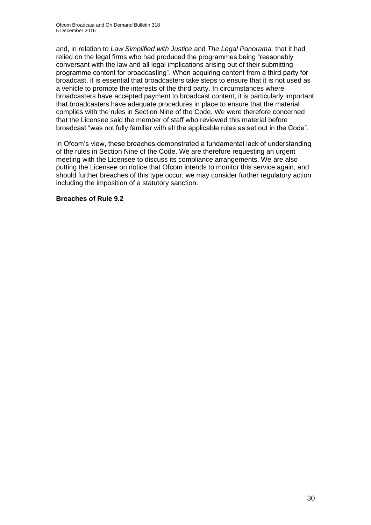and, in relation to *Law Simplified with Justice* and *The Legal Panorama,* that it had relied on the legal firms who had produced the programmes being "reasonably conversant with the law and all legal implications arising out of their submitting programme content for broadcasting". When acquiring content from a third party for broadcast, it is essential that broadcasters take steps to ensure that it is not used as a vehicle to promote the interests of the third party. In circumstances where broadcasters have accepted payment to broadcast content, it is particularly important that broadcasters have adequate procedures in place to ensure that the material complies with the rules in Section Nine of the Code. We were therefore concerned that the Licensee said the member of staff who reviewed this material before broadcast "was not fully familiar with all the applicable rules as set out in the Code".

In Ofcom's view, these breaches demonstrated a fundamental lack of understanding of the rules in Section Nine of the Code. We are therefore requesting an urgent meeting with the Licensee to discuss its compliance arrangements. We are also putting the Licensee on notice that Ofcom intends to monitor this service again, and should further breaches of this type occur, we may consider further regulatory action including the imposition of a statutory sanction.

#### **Breaches of Rule 9.2**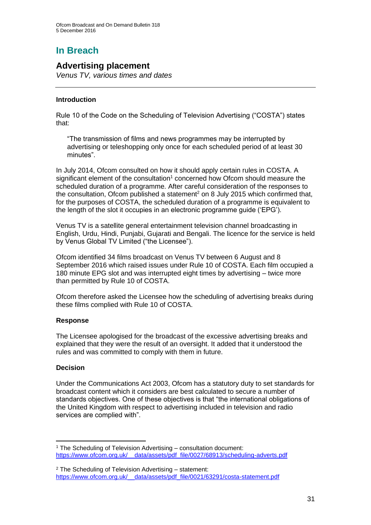# **In Breach**

### **Advertising placement**

*Venus TV, various times and dates*

#### **Introduction**

Rule 10 of the Code on the Scheduling of Television Advertising ("COSTA") states that:

"The transmission of films and news programmes may be interrupted by advertising or teleshopping only once for each scheduled period of at least 30 minutes".

In July 2014, Ofcom consulted on how it should apply certain rules in COSTA. A significant element of the consultation<sup>1</sup> concerned how Ofcom should measure the scheduled duration of a programme. After careful consideration of the responses to the consultation, Ofcom published a statement<sup>2</sup> on 8 July 2015 which confirmed that, for the purposes of COSTA, the scheduled duration of a programme is equivalent to the length of the slot it occupies in an electronic programme guide ('EPG').

Venus TV is a satellite general entertainment television channel broadcasting in English, Urdu, Hindi, Punjabi, Gujarati and Bengali. The licence for the service is held by Venus Global TV Limited ("the Licensee").

Ofcom identified 34 films broadcast on Venus TV between 6 August and 8 September 2016 which raised issues under Rule 10 of COSTA. Each film occupied a 180 minute EPG slot and was interrupted eight times by advertising – twice more than permitted by Rule 10 of COSTA.

Ofcom therefore asked the Licensee how the scheduling of advertising breaks during these films complied with Rule 10 of COSTA.

#### **Response**

The Licensee apologised for the broadcast of the excessive advertising breaks and explained that they were the result of an oversight. It added that it understood the rules and was committed to comply with them in future.

#### **Decision**

Under the Communications Act 2003, Ofcom has a statutory duty to set standards for broadcast content which it considers are best calculated to secure a number of standards objectives. One of these objectives is that "the international obligations of the United Kingdom with respect to advertising included in television and radio services are complied with".

<sup>1</sup> The Scheduling of Television Advertising – consultation document: [https://www.ofcom.org.uk/\\_\\_data/assets/pdf\\_file/0027/68913/scheduling-adverts.pdf](https://www.ofcom.org.uk/__data/assets/pdf_file/0027/68913/scheduling-adverts.pdf)

<sup>2</sup> The Scheduling of Television Advertising – statement: [https://www.ofcom.org.uk/\\_\\_data/assets/pdf\\_file/0021/63291/costa-statement.pdf](https://www.ofcom.org.uk/__data/assets/pdf_file/0021/63291/costa-statement.pdf)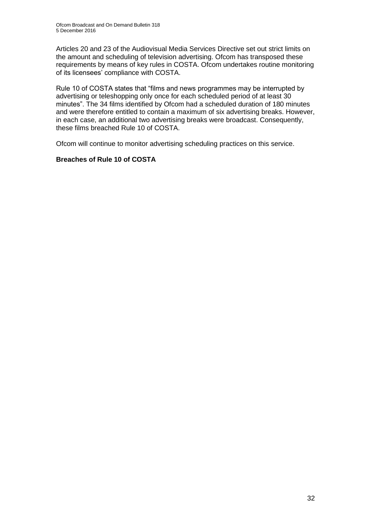Articles 20 and 23 of the Audiovisual Media Services Directive set out strict limits on the amount and scheduling of television advertising. Ofcom has transposed these requirements by means of key rules in COSTA. Ofcom undertakes routine monitoring of its licensees' compliance with COSTA.

Rule 10 of COSTA states that "films and news programmes may be interrupted by advertising or teleshopping only once for each scheduled period of at least 30 minutes". The 34 films identified by Ofcom had a scheduled duration of 180 minutes and were therefore entitled to contain a maximum of six advertising breaks. However, in each case, an additional two advertising breaks were broadcast. Consequently, these films breached Rule 10 of COSTA.

Ofcom will continue to monitor advertising scheduling practices on this service.

#### **Breaches of Rule 10 of COSTA**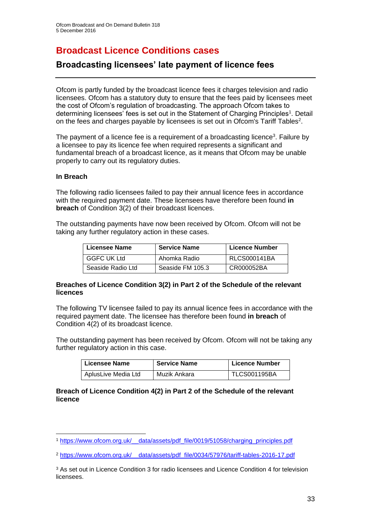### **Broadcast Licence Conditions cases**

### **Broadcasting licensees' late payment of licence fees**

Ofcom is partly funded by the broadcast licence fees it charges television and radio licensees. Ofcom has a statutory duty to ensure that the fees paid by licensees meet the cost of Ofcom's regulation of broadcasting. The approach Ofcom takes to determining licensees' fees is set out in the Statement of Charging Principles<sup>1</sup>. Detail on the fees and charges payable by licensees is set out in Ofcom's Tariff Tables<sup>2</sup>.

The payment of a licence fee is a requirement of a broadcasting licence<sup>3</sup>. Failure by a licensee to pay its licence fee when required represents a significant and fundamental breach of a broadcast licence, as it means that Ofcom may be unable properly to carry out its regulatory duties.

#### **In Breach**

The following radio licensees failed to pay their annual licence fees in accordance with the required payment date. These licensees have therefore been found **in breach** of Condition 3(2) of their broadcast licences.

The outstanding payments have now been received by Ofcom. Ofcom will not be taking any further regulatory action in these cases.

| <b>Licensee Name</b> | <b>Service Name</b> | <b>Licence Number</b> |
|----------------------|---------------------|-----------------------|
| <b>GGFC UK Ltd</b>   | Ahomka Radio        | <b>RLCS000141BA</b>   |
| Seaside Radio Ltd    | Seaside FM 105.3    | CR000052BA            |

#### **Breaches of Licence Condition 3(2) in Part 2 of the Schedule of the relevant licences**

The following TV licensee failed to pay its annual licence fees in accordance with the required payment date. The licensee has therefore been found **in breach** of Condition 4(2) of its broadcast licence.

The outstanding payment has been received by Ofcom. Ofcom will not be taking any further regulatory action in this case.

| Licensee Name       | <b>Service Name</b> | <b>Licence Number</b> |
|---------------------|---------------------|-----------------------|
| AplusLive Media Ltd | Muzik Ankara        | <b>TLCS001195BA</b>   |

#### **Breach of Licence Condition 4(2) in Part 2 of the Schedule of the relevant licence**

<sup>1</sup> [https://www.ofcom.org.uk/\\_\\_data/assets/pdf\\_file/0019/51058/charging\\_principles.pdf](https://www.ofcom.org.uk/__data/assets/pdf_file/0019/51058/charging_principles.pdf)

<sup>2</sup> https://www.ofcom.org.uk/\_\_data/assets/pdf\_file/0034/57976/tariff-tables-2016-17.pdf

<sup>&</sup>lt;sup>3</sup> As set out in Licence Condition 3 for radio licensees and Licence Condition 4 for television licensees.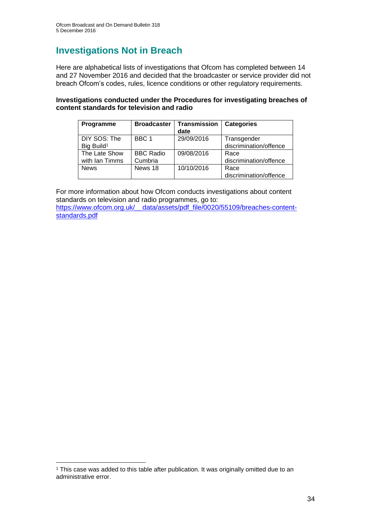# **Investigations Not in Breach**

Here are alphabetical lists of investigations that Ofcom has completed between 14 and 27 November 2016 and decided that the broadcaster or service provider did not breach Ofcom's codes, rules, licence conditions or other regulatory requirements.

#### **Investigations conducted under the Procedures for investigating breaches of content standards for television and radio**

| Programme              | <b>Broadcaster</b> | <b>Transmission</b><br>date | <b>Categories</b>      |
|------------------------|--------------------|-----------------------------|------------------------|
| DIY SOS: The           | BBC 1              | 29/09/2016                  | Transgender            |
| Big Build <sup>1</sup> |                    |                             | discrimination/offence |
| The Late Show          | <b>BBC Radio</b>   | 09/08/2016                  | Race                   |
| with Ian Timms         | Cumbria            |                             | discrimination/offence |
| <b>News</b>            | News 18            | 10/10/2016                  | Race                   |
|                        |                    |                             | discrimination/offence |

For more information about how Ofcom conducts investigations about content standards on television and radio programmes, go to:

[https://www.ofcom.org.uk/\\_\\_data/assets/pdf\\_file/0020/55109/breaches-content](https://www.ofcom.org.uk/__data/assets/pdf_file/0020/55109/breaches-content-standards.pdf)[standards.pdf](https://www.ofcom.org.uk/__data/assets/pdf_file/0020/55109/breaches-content-standards.pdf)

<sup>&</sup>lt;sup>1</sup> This case was added to this table after publication. It was originally omitted due to an administrative error.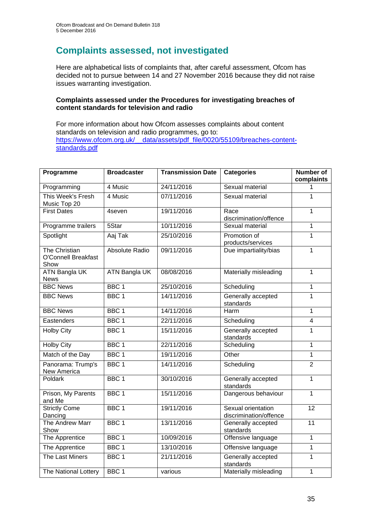### **Complaints assessed, not investigated**

Here are alphabetical lists of complaints that, after careful assessment, Ofcom has decided not to pursue between 14 and 27 November 2016 because they did not raise issues warranting investigation.

#### **Complaints assessed under the Procedures for investigating breaches of content standards for television and radio**

For more information about how Ofcom assesses complaints about content standards on television and radio programmes, go to: https://www.ofcom.org.uk/ data/assets/pdf\_file/0020/55109/breaches-content[standards.pdf](https://www.ofcom.org.uk/__data/assets/pdf_file/0020/55109/breaches-content-standards.pdf)

| Programme                                           | <b>Broadcaster</b>   | <b>Transmission Date</b> | <b>Categories</b>                            | <b>Number of</b><br>complaints |
|-----------------------------------------------------|----------------------|--------------------------|----------------------------------------------|--------------------------------|
| Programming                                         | 4 Music              | 24/11/2016               | Sexual material                              |                                |
| This Week's Fresh<br>Music Top 20                   | 4 Music              | 07/11/2016               | Sexual material                              | 1                              |
| <b>First Dates</b>                                  | 4seven               | 19/11/2016               | Race<br>discrimination/offence               | $\mathbf{1}$                   |
| Programme trailers                                  | 5Star                | 10/11/2016               | Sexual material                              | $\mathbf{1}$                   |
| Spotlight                                           | Aaj Tak              | 25/10/2016               | Promotion of<br>products/services            | $\overline{1}$                 |
| The Christian<br><b>O'Connell Breakfast</b><br>Show | Absolute Radio       | 09/11/2016               | Due impartiality/bias                        | $\mathbf{1}$                   |
| <b>ATN Bangla UK</b><br><b>News</b>                 | <b>ATN Bangla UK</b> | 08/08/2016               | Materially misleading                        | $\overline{1}$                 |
| <b>BBC News</b>                                     | BBC <sub>1</sub>     | 25/10/2016               | Scheduling                                   | $\mathbf{1}$                   |
| <b>BBC News</b>                                     | BBC <sub>1</sub>     | 14/11/2016               | Generally accepted<br>standards              | $\mathbf{1}$                   |
| <b>BBC News</b>                                     | BBC <sub>1</sub>     | 14/11/2016               | Harm                                         | $\mathbf{1}$                   |
| Eastenders                                          | BBC <sub>1</sub>     | 22/11/2016               | Scheduling                                   | $\overline{\mathbf{4}}$        |
| <b>Holby City</b>                                   | BBC <sub>1</sub>     | 15/11/2016               | Generally accepted<br>standards              | $\mathbf{1}$                   |
| <b>Holby City</b>                                   | BBC <sub>1</sub>     | 22/11/2016               | Scheduling                                   | $\mathbf{1}$                   |
| Match of the Day                                    | BBC <sub>1</sub>     | 19/11/2016               | Other                                        | $\overline{1}$                 |
| Panorama: Trump's<br>New America                    | BBC <sub>1</sub>     | 14/11/2016               | Scheduling                                   | $\overline{2}$                 |
| Poldark                                             | BBC <sub>1</sub>     | 30/10/2016               | Generally accepted<br>standards              | $\overline{1}$                 |
| Prison, My Parents<br>and Me                        | BBC <sub>1</sub>     | 15/11/2016               | Dangerous behaviour                          | $\mathbf{1}$                   |
| <b>Strictly Come</b><br>Dancing                     | BBC <sub>1</sub>     | 19/11/2016               | Sexual orientation<br>discrimination/offence | 12                             |
| The Andrew Marr<br>Show                             | BBC <sub>1</sub>     | 13/11/2016               | Generally accepted<br>standards              | 11                             |
| The Apprentice                                      | BBC <sub>1</sub>     | 10/09/2016               | Offensive language                           | $\overline{1}$                 |
| The Apprentice                                      | BBC <sub>1</sub>     | 13/10/2016               | Offensive language                           | $\overline{1}$                 |
| The Last Miners                                     | BBC <sub>1</sub>     | 21/11/2016               | Generally accepted<br>standards              | $\mathbf{1}$                   |
| The National Lottery                                | BBC <sub>1</sub>     | various                  | Materially misleading                        | $\mathbf{1}$                   |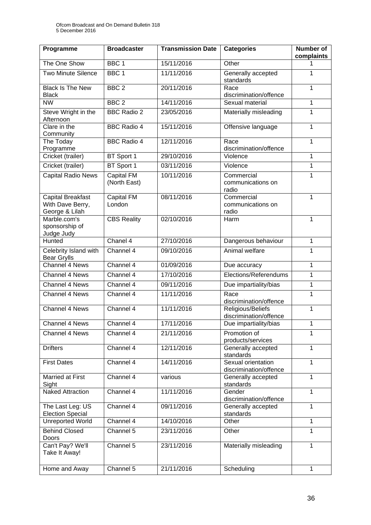| Programme                                                      | <b>Broadcaster</b>                | <b>Transmission Date</b> | <b>Categories</b>                                            | Number of<br>complaints |
|----------------------------------------------------------------|-----------------------------------|--------------------------|--------------------------------------------------------------|-------------------------|
| The One Show                                                   | BBC <sub>1</sub>                  | 15/11/2016               | Other                                                        | 1                       |
| <b>Two Minute Silence</b>                                      | BBC <sub>1</sub>                  | 11/11/2016               | Generally accepted<br>standards                              | 1                       |
| <b>Black Is The New</b><br><b>Black</b>                        | BBC <sub>2</sub>                  | 20/11/2016               | Race<br>discrimination/offence                               | $\mathbf{1}$            |
| <b>NW</b>                                                      | BBC <sub>2</sub>                  | 14/11/2016               | Sexual material                                              | $\mathbf{1}$            |
| Steve Wright in the<br>Afternoon                               | <b>BBC Radio 2</b>                | 23/05/2016               | Materially misleading                                        | $\mathbf{1}$            |
| Clare in the<br>Community                                      | <b>BBC Radio 4</b>                | 15/11/2016               | Offensive language                                           | $\mathbf{1}$            |
| The Today<br>Programme                                         | <b>BBC Radio 4</b>                | 12/11/2016               | Race<br>discrimination/offence                               | 1                       |
| Cricket (trailer)                                              | BT Sport 1                        | 29/10/2016               | Violence                                                     | $\mathbf{1}$            |
| Cricket (trailer)                                              | BT Sport 1                        | 03/11/2016               | Violence                                                     | 1                       |
| Capital Radio News                                             | <b>Capital FM</b><br>(North East) | 10/11/2016               | Commercial<br>communications on<br>radio                     | $\mathbf{1}$            |
| <b>Capital Breakfast</b><br>With Dave Berry,<br>George & Lilah | <b>Capital FM</b><br>London       | 08/11/2016               | Commercial<br>communications on<br>radio                     | $\mathbf{1}$            |
| Marble.com's<br>sponsorship of<br>Judge Judy                   | <b>CBS Reality</b>                | 02/10/2016               | Harm                                                         | 1                       |
| Hunted                                                         | Chanel 4                          | 27/10/2016               | Dangerous behaviour                                          | $\mathbf{1}$            |
| Celebrity Island with<br><b>Bear Grylls</b>                    | Channel 4                         | 09/10/2016               | Animal welfare                                               | $\mathbf{1}$            |
| Channel 4 News                                                 | Channel 4                         | 01/09/2016               | Due accuracy                                                 | 1                       |
| Channel 4 News                                                 | Channel 4                         | 17/10/2016               | Elections/Referendums                                        | $\mathbf{1}$            |
| Channel 4 News                                                 | Channel 4                         | 09/11/2016               | Due impartiality/bias                                        | 1                       |
| Channel 4 News                                                 | Channel 4                         | 11/11/2016               | Race<br>discrimination/offence                               | 1                       |
| Channel 4 News                                                 | Channel 4                         | 11/11/2016               | Religious/Beliefs<br>discrimination/offence                  | $\mathbf{1}$            |
| Channel 4 News                                                 | Channel 4                         | 17/11/2016               | Due impartiality/bias                                        | $\mathbf{1}$            |
| <b>Channel 4 News</b>                                          | Channel 4                         | 21/11/2016               | Promotion of<br>1<br>products/services                       |                         |
| <b>Drifters</b>                                                | Channel 4                         | 12/11/2016               | $\mathbf{1}$<br>Generally accepted<br>standards              |                         |
| <b>First Dates</b>                                             | Channel 4                         | 14/11/2016               | Sexual orientation<br>$\mathbf{1}$<br>discrimination/offence |                         |
| Married at First<br>Sight                                      | Channel 4                         | various                  | $\mathbf{1}$<br>Generally accepted<br>standards              |                         |
| <b>Naked Attraction</b>                                        | Channel 4                         | 11/11/2016               | Gender<br>discrimination/offence                             | $\mathbf{1}$            |
| The Last Leg: US<br><b>Election Special</b>                    | Channel 4                         | 09/11/2016               | Generally accepted<br>standards                              | 1                       |
| <b>Unreported World</b>                                        | Channel 4                         | 14/10/2016               | Other                                                        | $\mathbf{1}$            |
| <b>Behind Closed</b><br>Doors                                  | Channel 5                         | 23/11/2016               | Other                                                        | $\mathbf{1}$            |
| Can't Pay? We'll<br>Take It Away!                              | Channel 5                         | 23/11/2016               | Materially misleading                                        | $\mathbf{1}$            |
| Home and Away                                                  | Channel 5                         | 21/11/2016               | Scheduling                                                   | $\mathbf{1}$            |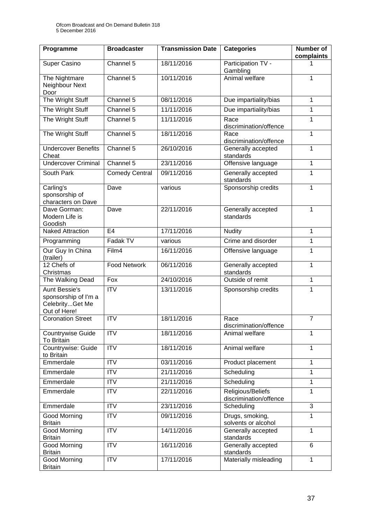| Programme                                                                | <b>Broadcaster</b>    | <b>Transmission Date</b> | <b>Categories</b>                           | <b>Number of</b><br>complaints |
|--------------------------------------------------------------------------|-----------------------|--------------------------|---------------------------------------------|--------------------------------|
| Super Casino                                                             | Channel $5$           | 18/11/2016               | Participation TV -<br>Gambling              |                                |
| The Nightmare<br>Neighbour Next<br>Door                                  | Channel 5             | 10/11/2016               | Animal welfare                              | 1                              |
| The Wright Stuff                                                         | Channel 5             | 08/11/2016               | Due impartiality/bias                       | $\mathbf{1}$                   |
| The Wright Stuff                                                         | Channel 5             | 11/11/2016               | Due impartiality/bias                       | 1                              |
| The Wright Stuff                                                         | Channel 5             | 11/11/2016               | Race<br>discrimination/offence              | 1                              |
| The Wright Stuff                                                         | Channel 5             | 18/11/2016               | Race<br>discrimination/offence              | $\mathbf{1}$                   |
| <b>Undercover Benefits</b><br>Cheat                                      | Channel 5             | 26/10/2016               | Generally accepted<br>standards             | $\mathbf{1}$                   |
| <b>Undercover Criminal</b>                                               | Channel 5             | 23/11/2016               | Offensive language                          | $\mathbf{1}$                   |
| South Park                                                               | <b>Comedy Central</b> | 09/11/2016               | Generally accepted<br>standards             | 1                              |
| Carling's<br>sponsorship of<br>characters on Dave                        | Dave                  | various                  | Sponsorship credits                         | $\mathbf{1}$                   |
| Dave Gorman:<br>Modern Life is<br>Goodish                                | Dave                  | 22/11/2016               | Generally accepted<br>standards             | 1                              |
| <b>Naked Attraction</b>                                                  | E <sub>4</sub>        | 17/11/2016               | <b>Nudity</b>                               | $\mathbf{1}$                   |
| Programming                                                              | Fadak TV              | various                  | Crime and disorder                          | 1                              |
| Our Guy In China<br>(trailer)                                            | Film4                 | 16/11/2016               | Offensive language                          | 1                              |
| 12 Chefs of<br>Christmas                                                 | <b>Food Network</b>   | 06/11/2016               | Generally accepted<br>standards             | 1                              |
| The Walking Dead                                                         | Fox                   | 24/10/2016               | Outside of remit                            | 1                              |
| Aunt Bessie's<br>sponsorship of I'm a<br>CelebrityGet Me<br>Out of Here! | <b>ITV</b>            | 13/11/2016               | Sponsorship credits                         | 1                              |
| <b>Coronation Street</b>                                                 | $\overline{ITV}$      | 18/11/2016               | Race<br>discrimination/offence              | $\overline{7}$                 |
| Countrywise Guide<br><b>To Britain</b>                                   | <b>ITV</b>            | 18/11/2016               | Animal welfare                              | $\mathbf{1}$                   |
| Countrywise: Guide<br>to Britain                                         | <b>ITV</b>            | 18/11/2016               | Animal welfare                              | $\mathbf{1}$                   |
| Emmerdale                                                                | <b>ITV</b>            | 03/11/2016               | Product placement                           | $\mathbf{1}$                   |
| Emmerdale                                                                | <b>ITV</b>            | 21/11/2016               | Scheduling                                  | $\mathbf{1}$                   |
| Emmerdale                                                                | <b>ITV</b>            | 21/11/2016               | Scheduling<br>$\mathbf{1}$                  |                                |
| Emmerdale                                                                | <b>ITV</b>            | 22/11/2016               | Religious/Beliefs<br>discrimination/offence | $\mathbf{1}$                   |
| Emmerdale                                                                | <b>ITV</b>            | 23/11/2016               | Scheduling                                  | 3                              |
| Good Morning<br><b>Britain</b>                                           | <b>ITV</b>            | 09/11/2016               | Drugs, smoking,<br>solvents or alcohol      | $\mathbf{1}$                   |
| <b>Good Morning</b><br><b>Britain</b>                                    | <b>ITV</b>            | 14/11/2016               | Generally accepted<br>standards             | $\mathbf{1}$                   |
| Good Morning<br><b>Britain</b>                                           | <b>ITV</b>            | 16/11/2016               | Generally accepted<br>standards             | 6                              |
| Good Morning<br><b>Britain</b>                                           | <b>ITV</b>            | 17/11/2016               | Materially misleading                       | $\mathbf{1}$                   |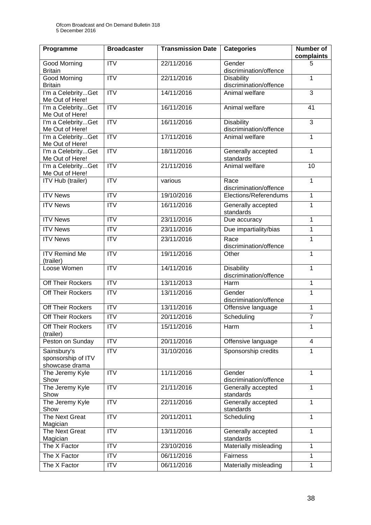| Programme                                           | <b>Broadcaster</b>     | <b>Transmission Date</b> | <b>Categories</b>                           | <b>Number of</b><br>complaints |
|-----------------------------------------------------|------------------------|--------------------------|---------------------------------------------|--------------------------------|
| Good Morning<br><b>Britain</b>                      | <b>ITV</b>             | 22/11/2016               | Gender<br>discrimination/offence            | 5                              |
| Good Morning<br><b>Britain</b>                      | <b>ITV</b>             | 22/11/2016               | <b>Disability</b><br>discrimination/offence | $\mathbf{1}$                   |
| I'm a CelebrityGet<br>Me Out of Here!               | $\overline{IV}$        | 14/11/2016               | Animal welfare                              | 3                              |
| I'm a CelebrityGet<br>Me Out of Here!               | $\overline{ITV}$       | 16/11/2016               | Animal welfare                              | 41                             |
| I'm a CelebrityGet<br>Me Out of Here!               | <b>ITV</b>             | 16/11/2016               | <b>Disability</b><br>discrimination/offence | 3                              |
| I'm a CelebrityGet<br>Me Out of Here!               | $\overline{ITV}$       | 17/11/2016               | Animal welfare                              | $\mathbf{1}$                   |
| I'm a CelebrityGet<br>Me Out of Here!               | ITV                    | 18/11/2016               | Generally accepted<br>standards             | 1                              |
| I'm a CelebrityGet<br>Me Out of Here!               | ITV                    | 21/11/2016               | Animal welfare                              | 10                             |
| <b>ITV Hub (trailer)</b>                            | <b>ITV</b>             | various                  | Race<br>discrimination/offence              | $\mathbf{1}$                   |
| <b>ITV News</b>                                     | ITV                    | 19/10/2016               | Elections/Referendums                       | 1                              |
| <b>ITV News</b>                                     | <b>ITV</b>             | 16/11/2016               | Generally accepted<br>standards             | $\mathbf{1}$                   |
| <b>ITV News</b>                                     | $\overline{\text{TV}}$ | 23/11/2016               | Due accuracy                                | $\mathbf{1}$                   |
| <b>ITV News</b>                                     | <b>ITV</b>             | 23/11/2016               | Due impartiality/bias                       | $\mathbf 1$                    |
| <b>ITV News</b>                                     | <b>ITV</b>             | 23/11/2016               | Race<br>discrimination/offence              | $\mathbf{1}$                   |
| <b>ITV Remind Me</b><br>(trailer)                   | <b>ITV</b>             | 19/11/2016               | Other                                       | $\mathbf{1}$                   |
| Loose Women                                         | ITV                    | 14/11/2016               | <b>Disability</b><br>discrimination/offence | $\mathbf{1}$                   |
| Off Their Rockers                                   | ITV                    | 13/11/2013               | Harm                                        | $\mathbf{1}$                   |
| Off Their Rockers                                   | $\overline{IV}$        | 13/11/2016               | Gender<br>discrimination/offence            | 1                              |
| Off Their Rockers                                   | ITV                    | 13/11/2016               | Offensive language                          | $\mathbf{1}$                   |
| Off Their Rockers                                   | <b>ITV</b>             | 20/11/2016               | Scheduling                                  | $\overline{7}$                 |
| Off Their Rockers<br>(trailer)                      | <b>ITV</b>             | 15/11/2016               | Harm                                        | 1                              |
| Peston on Sunday                                    | <b>ITV</b>             | 20/11/2016               | Offensive language                          | $\overline{4}$                 |
| Sainsbury's<br>sponsorship of ITV<br>showcase drama | <b>ITV</b>             | 31/10/2016               | Sponsorship credits                         | $\mathbf{1}$                   |
| The Jeremy Kyle<br>Show                             | <b>ITV</b>             | 11/11/2016               | Gender<br>discrimination/offence            | $\mathbf{1}$                   |
| The Jeremy Kyle<br>Show                             | <b>ITV</b>             | 21/11/2016               | Generally accepted<br>standards             | $\mathbf{1}$                   |
| The Jeremy Kyle<br>Show                             | <b>ITV</b>             | 22/11/2016               | Generally accepted<br>standards             | 1                              |
| The Next Great<br>Magician                          | $\overline{IV}$        | 20/11/2011               | Scheduling                                  | $\mathbf{1}$                   |
| The Next Great<br>Magician                          | <b>ITV</b>             | 13/11/2016               | Generally accepted<br>standards             | 1                              |
| The X Factor                                        | <b>ITV</b>             | 23/10/2016               | Materially misleading                       | $\mathbf{1}$                   |
| The X Factor                                        | <b>ITV</b>             | 06/11/2016               | <b>Fairness</b>                             | $\mathbf{1}$                   |
| The X Factor                                        | $\overline{IV}$        | 06/11/2016               | Materially misleading                       | $\mathbf{1}$                   |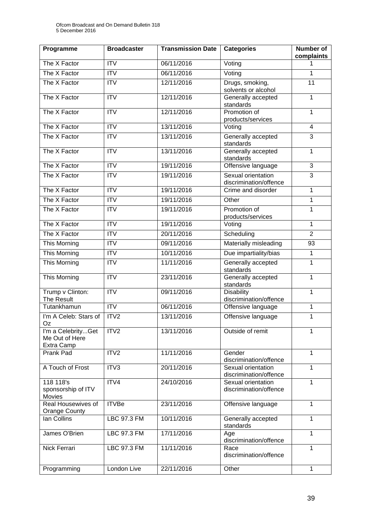| Programme                                          | <b>Broadcaster</b>        | <b>Transmission Date</b> | <b>Categories</b>                              | Number of<br>complaints |
|----------------------------------------------------|---------------------------|--------------------------|------------------------------------------------|-------------------------|
| The X Factor                                       | $\overline{ITV}$          | 06/11/2016               | Voting                                         | 1                       |
| The X Factor                                       | $\overline{\mathsf{ITV}}$ | 06/11/2016               | Voting                                         | $\mathbf{1}$            |
| The X Factor                                       | <b>ITV</b>                | 12/11/2016               | Drugs, smoking,<br>solvents or alcohol         | 11                      |
| The X Factor                                       | <b>ITV</b>                | 12/11/2016               | Generally accepted<br>standards                | $\mathbf{1}$            |
| The X Factor                                       | <b>ITV</b>                | 12/11/2016               | Promotion of<br>products/services              | $\mathbf{1}$            |
| The X Factor                                       | <b>ITV</b>                | 13/11/2016               | Voting                                         | 4                       |
| The X Factor                                       | $\overline{\text{ITV}}$   | 13/11/2016               | Generally accepted<br>standards                | 3                       |
| The X Factor                                       | <b>ITV</b>                | 13/11/2016               | Generally accepted<br>standards                | $\mathbf{1}$            |
| The X Factor                                       | $\overline{ITV}$          | 19/11/2016               | Offensive language                             | 3                       |
| The X Factor                                       | <b>ITV</b>                | 19/11/2016               | Sexual orientation<br>discrimination/offence   | $\overline{3}$          |
| The X Factor                                       | <b>ITV</b>                | 19/11/2016               | Crime and disorder                             | $\mathbf{1}$            |
| The X Factor                                       | $\overline{\text{IV}}$    | 19/11/2016               | Other                                          | $\mathbf{1}$            |
| The X Factor                                       | <b>ITV</b>                | 19/11/2016               | Promotion of<br>products/services              | $\overline{1}$          |
| The X Factor                                       | <b>ITV</b>                | 19/11/2016               | Voting                                         | $\mathbf{1}$            |
| The X Factor                                       | $\overline{\text{ITV}}$   | 20/11/2016               | Scheduling                                     | $\overline{2}$          |
| This Morning                                       | <b>ITV</b>                | 09/11/2016               | Materially misleading                          | 93                      |
| This Morning                                       | <b>ITV</b>                | 10/11/2016               | Due impartiality/bias                          | $\mathbf{1}$            |
| <b>This Morning</b>                                | $\overline{\mathsf{ITV}}$ | 11/11/2016               | Generally accepted<br>standards                | $\overline{1}$          |
| <b>This Morning</b>                                | <b>ITV</b>                | 23/11/2016               | Generally accepted<br>standards                | $\overline{1}$          |
| Trump v Clinton:<br>The Result                     | <b>ITV</b>                | 09/11/2016               | Disability<br>discrimination/offence           | $\mathbf{1}$            |
| Tutankhamun                                        | <b>ITV</b>                | 06/11/2016               | Offensive language                             | $\mathbf 1$             |
| I'm A Celeb: Stars of<br>Oz                        | ITV2                      | 13/11/2016               | Offensive language                             | 1                       |
| I'm a CelebrityGet<br>Me Out of Here<br>Extra Camp | ITV <sub>2</sub>          | 13/11/2016               | Outside of remit                               | $\mathbf{1}$            |
| Prank Pad                                          | ITV2                      | 11/11/2016               | Gender<br>discrimination/offence               | 1                       |
| A Touch of Frost                                   | ITV3                      | 20/11/2016               | Sexual orientation<br>discrimination/offence   | $\mathbf{1}$            |
| 118 118's<br>sponsorship of ITV<br>Movies          | ITV4                      | 24/10/2016               | Sexual orientation<br>discrimination/offence   | $\mathbf{1}$            |
| Real Housewives of<br><b>Orange County</b>         | <b>ITVBe</b>              | 23/11/2016               | Offensive language                             | $\mathbf{1}$            |
| lan Collins                                        | LBC 97.3 FM               | 10/11/2016               | Generally accepted<br>standards                | $\mathbf{1}$            |
| James O'Brien                                      | LBC 97.3 FM               | 17/11/2016               | Age<br>discrimination/offence                  | 1                       |
| Nick Ferrari                                       | LBC 97.3 FM               | 11/11/2016               | $\mathbf{1}$<br>Race<br>discrimination/offence |                         |
| Programming                                        | London Live               | 22/11/2016               | Other                                          | 1                       |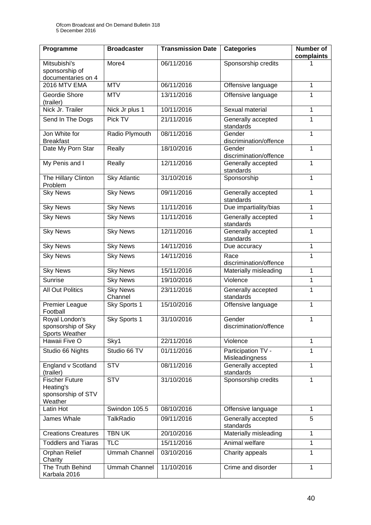| Programme                                                    | <b>Broadcaster</b>         | <b>Transmission Date</b> | <b>Categories</b>                    | <b>Number of</b><br>complaints |
|--------------------------------------------------------------|----------------------------|--------------------------|--------------------------------------|--------------------------------|
| Mitsubishi's<br>sponsorship of<br>documentaries on 4         | More4                      | 06/11/2016               | Sponsorship credits                  |                                |
| <b>2016 MTV EMA</b>                                          | <b>MTV</b>                 | 06/11/2016               | Offensive language                   | $\mathbf{1}$                   |
| Geordie Shore<br>(trailer)                                   | <b>MTV</b>                 | 13/11/2016               | Offensive language                   | 1                              |
| Nick Jr. Trailer                                             | Nick Jr plus 1             | 10/11/2016               | Sexual material                      | 1                              |
| Send In The Dogs                                             | Pick TV                    | 21/11/2016               | Generally accepted<br>standards      | $\mathbf{1}$                   |
| Jon White for<br><b>Breakfast</b>                            | Radio Plymouth             | 08/11/2016               | Gender<br>discrimination/offence     | $\mathbf{1}$                   |
| Date My Porn Star                                            | Really                     | 18/10/2016               | Gender<br>discrimination/offence     | $\mathbf{1}$                   |
| My Penis and I                                               | Really                     | 12/11/2016               | Generally accepted<br>standards      | $\mathbf{1}$                   |
| The Hillary Clinton<br>Problem                               | <b>Sky Atlantic</b>        | 31/10/2016               | Sponsorship                          | 1                              |
| <b>Sky News</b>                                              | <b>Sky News</b>            | 09/11/2016               | Generally accepted<br>standards      | 1                              |
| <b>Sky News</b>                                              | <b>Sky News</b>            | 11/11/2016               | Due impartiality/bias                | $\mathbf{1}$                   |
| <b>Sky News</b>                                              | <b>Sky News</b>            | 11/11/2016               | Generally accepted<br>standards      | 1                              |
| <b>Sky News</b>                                              | <b>Sky News</b>            | 12/11/2016               | Generally accepted<br>standards      | $\mathbf{1}$                   |
| <b>Sky News</b>                                              | <b>Sky News</b>            | 14/11/2016               | Due accuracy                         | $\mathbf{1}$                   |
| <b>Sky News</b>                                              | <b>Sky News</b>            | 14/11/2016               | Race<br>discrimination/offence       | 1                              |
| <b>Sky News</b>                                              | <b>Sky News</b>            | 15/11/2016               | Materially misleading                | 1                              |
| <b>Sunrise</b>                                               | <b>Sky News</b>            | 19/10/2016               | Violence                             | $\mathbf{1}$                   |
| <b>All Out Politics</b>                                      | <b>Sky News</b><br>Channel | 23/11/2016               | Generally accepted<br>standards      | 1                              |
| Premier League<br>Football                                   | Sky Sports 1               | 15/10/2016               | Offensive language                   | $\mathbf{1}$                   |
| Royal London's<br>sponsorship of Sky<br>Sports Weather       | Sky Sports 1               | 31/10/2016               | Gender<br>discrimination/offence     | $\mathbf{1}$                   |
| Hawaii Five O                                                | Sky1                       | 22/11/2016               | Violence                             | $\mathbf{1}$                   |
| Studio 66 Nights                                             | Studio 66 TV               | 01/11/2016               | Participation TV -<br>Misleadingness | 1                              |
| England v Scotland<br>(trailer)                              | STV                        | 08/11/2016               | Generally accepted<br>standards      | $\mathbf{1}$                   |
| Fischer Future<br>Heating's<br>sponsorship of STV<br>Weather | <b>STV</b>                 | 31/10/2016               | Sponsorship credits                  | $\mathbf 1$                    |
| Latin Hot                                                    | Swindon 105.5              | 08/10/2016               | Offensive language                   | 1                              |
| James Whale                                                  | <b>TalkRadio</b>           | 09/11/2016               | Generally accepted<br>standards      | 5                              |
| <b>Creations Creatures</b>                                   | <b>TBN UK</b>              | 20/10/2016               | Materially misleading                | $\mathbf{1}$                   |
| <b>Toddlers and Tiaras</b>                                   | <b>TLC</b>                 | 15/11/2016               | Animal welfare                       | $\mathbf{1}$                   |
| Orphan Relief<br>Charity                                     | <b>Ummah Channel</b>       | 03/10/2016               | Charity appeals                      | $\mathbf{1}$                   |
| The Truth Behind<br>Karbala 2016                             | Ummah Channel              | 11/10/2016               | Crime and disorder                   | $\mathbf{1}$                   |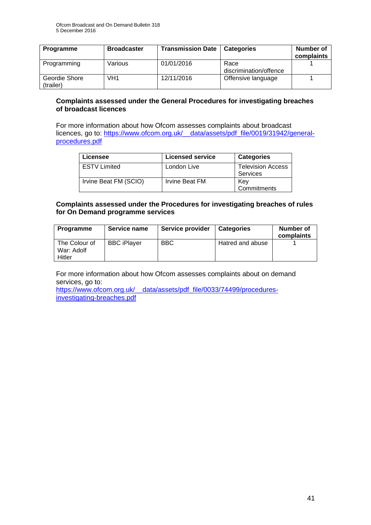| Programme                  | <b>Broadcaster</b> | <b>Transmission Date</b> | <b>Categories</b>              | Number of<br>complaints |
|----------------------------|--------------------|--------------------------|--------------------------------|-------------------------|
| Programming                | Various            | 01/01/2016               | Race<br>discrimination/offence |                         |
| Geordie Shore<br>(trailer) | VH1                | 12/11/2016               | Offensive language             |                         |

#### **Complaints assessed under the General Procedures for investigating breaches of broadcast licences**

For more information about how Ofcom assesses complaints about broadcast licences, go to: [https://www.ofcom.org.uk/\\_\\_data/assets/pdf\\_file/0019/31942/general](https://www.ofcom.org.uk/__data/assets/pdf_file/0019/31942/general-procedures.pdf)[procedures.pdf](https://www.ofcom.org.uk/__data/assets/pdf_file/0019/31942/general-procedures.pdf)

| Licensee              | <b>Licensed service</b> | <b>Categories</b>                    |
|-----------------------|-------------------------|--------------------------------------|
| <b>ESTV</b> Limited   | London Live             | <b>Television Access</b><br>Services |
| Irvine Beat FM (SCIO) | Irvine Beat FM          | Kev<br>Commitments                   |

#### **Complaints assessed under the Procedures for investigating breaches of rules for On Demand programme services**

| <b>Programme</b>                      | Service name       | Service provider | <b>Categories</b> | Number of<br>complaints |
|---------------------------------------|--------------------|------------------|-------------------|-------------------------|
| The Colour of<br>War: Adolf<br>Hitler | <b>BBC iPlaver</b> | <b>BBC</b>       | Hatred and abuse  |                         |

For more information about how Ofcom assesses complaints about on demand services, go to:

[https://www.ofcom.org.uk/\\_\\_data/assets/pdf\\_file/0033/74499/procedures](https://www.ofcom.org.uk/__data/assets/pdf_file/0033/74499/procedures-investigating-breaches.pdf)[investigating-breaches.pdf](https://www.ofcom.org.uk/__data/assets/pdf_file/0033/74499/procedures-investigating-breaches.pdf)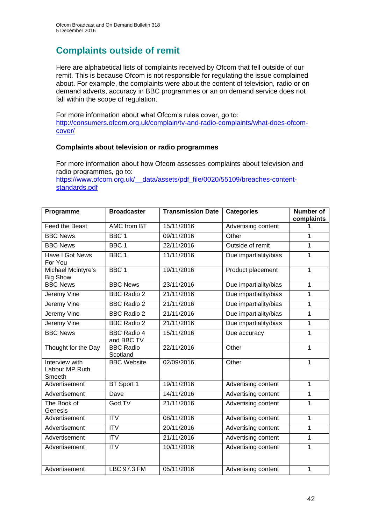# **Complaints outside of remit**

Here are alphabetical lists of complaints received by Ofcom that fell outside of our remit. This is because Ofcom is not responsible for regulating the issue complained about. For example, the complaints were about the content of television, radio or on demand adverts, accuracy in BBC programmes or an on demand service does not fall within the scope of regulation.

For more information about what Ofcom's rules cover, go to: [http://consumers.ofcom.org.uk/complain/tv-and-radio-complaints/what-does-ofcom](http://consumers.ofcom.org.uk/complain/tv-and-radio-complaints/what-does-ofcom-cover/)[cover/](http://consumers.ofcom.org.uk/complain/tv-and-radio-complaints/what-does-ofcom-cover/)

#### **Complaints about television or radio programmes**

For more information about how Ofcom assesses complaints about television and radio programmes, go to:

[https://www.ofcom.org.uk/\\_\\_data/assets/pdf\\_file/0020/55109/breaches-content](https://www.ofcom.org.uk/__data/assets/pdf_file/0020/55109/breaches-content-standards.pdf)[standards.pdf](https://www.ofcom.org.uk/__data/assets/pdf_file/0020/55109/breaches-content-standards.pdf)

| Programme                                  | <b>Broadcaster</b>               | <b>Transmission Date</b> | <b>Categories</b>          | <b>Number of</b><br>complaints |
|--------------------------------------------|----------------------------------|--------------------------|----------------------------|--------------------------------|
| Feed the Beast                             | <b>AMC from BT</b>               | 15/11/2016               | Advertising content        | 1                              |
| <b>BBC News</b>                            | BBC <sub>1</sub>                 | 09/11/2016               | Other                      | 1                              |
| <b>BBC News</b>                            | BBC <sub>1</sub>                 | 22/11/2016               | Outside of remit           | 1                              |
| Have I Got News<br>For You                 | BBC <sub>1</sub>                 | 11/11/2016               | Due impartiality/bias      | 1                              |
| Michael Mcintyre's<br><b>Big Show</b>      | BBC <sub>1</sub>                 | 19/11/2016               | Product placement          | $\mathbf{1}$                   |
| <b>BBC News</b>                            | <b>BBC News</b>                  | 23/11/2016               | Due impartiality/bias      | 1                              |
| Jeremy Vine                                | <b>BBC Radio 2</b>               | 21/11/2016               | Due impartiality/bias      | $\mathbf{1}$                   |
| Jeremy Vine                                | <b>BBC Radio 2</b>               | 21/11/2016               | Due impartiality/bias      | 1                              |
| <b>Jeremy Vine</b>                         | <b>BBC Radio 2</b>               | 21/11/2016               | Due impartiality/bias      | 1                              |
| <b>Jeremy Vine</b>                         | <b>BBC Radio 2</b>               | 21/11/2016               | Due impartiality/bias      | 1                              |
| <b>BBC News</b>                            | <b>BBC Radio 4</b><br>and BBC TV | 15/11/2016               | Due accuracy               | 1                              |
| Thought for the Day                        | <b>BBC Radio</b><br>Scotland     | 22/11/2016               | Other                      | 1                              |
| Interview with<br>Labour MP Ruth<br>Smeeth | <b>BBC</b> Website               | 02/09/2016               | Other                      | 1                              |
| Advertisement                              | BT Sport 1                       | 19/11/2016               | Advertising content        | 1                              |
| Advertisement                              | Dave                             | 14/11/2016               | Advertising content        | 1                              |
| The Book of<br>Genesis                     | God TV                           | 21/11/2016               | <b>Advertising content</b> | 1                              |
| Advertisement                              | <b>ITV</b>                       | 08/11/2016               | Advertising content        | 1                              |
| Advertisement                              | $\overline{ITV}$                 | 20/11/2016               | Advertising content        | 1                              |
| Advertisement                              | <b>ITV</b>                       | 21/11/2016               | Advertising content        | 1                              |
| Advertisement                              | <b>ITV</b>                       | 10/11/2016               | Advertising content        | 1                              |
| Advertisement                              | LBC 97.3 FM                      | 05/11/2016               | Advertising content        | 1                              |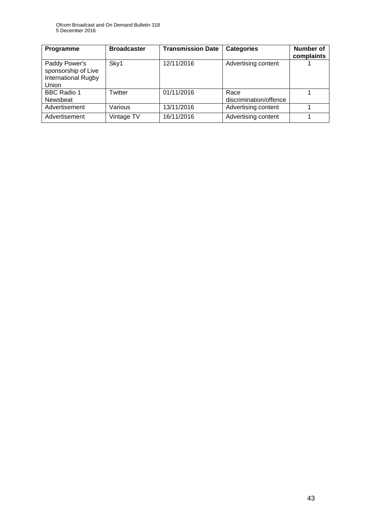| Programme                                                                          | <b>Broadcaster</b> | <b>Transmission Date</b> | <b>Categories</b>              | <b>Number of</b><br>complaints |
|------------------------------------------------------------------------------------|--------------------|--------------------------|--------------------------------|--------------------------------|
| Paddy Power's<br>sponsorship of Live<br><b>International Rugby</b><br><b>Union</b> | Sky1               | 12/11/2016               | Advertising content            |                                |
| <b>BBC Radio 1</b><br>Newsbeat                                                     | Twitter            | 01/11/2016               | Race<br>discrimination/offence |                                |
| Advertisement                                                                      | Various            | 13/11/2016               | Advertising content            |                                |
| Advertisement                                                                      | Vintage TV         | 16/11/2016               | Advertising content            |                                |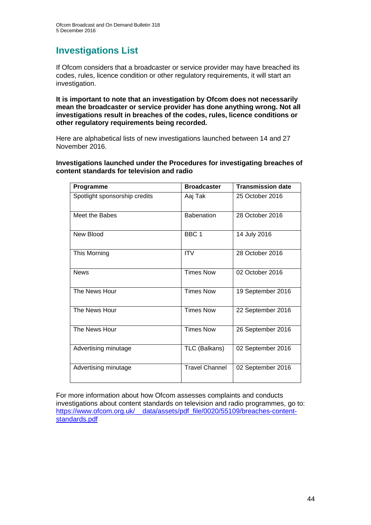### **Investigations List**

If Ofcom considers that a broadcaster or service provider may have breached its codes, rules, licence condition or other regulatory requirements, it will start an investigation.

**It is important to note that an investigation by Ofcom does not necessarily mean the broadcaster or service provider has done anything wrong. Not all investigations result in breaches of the codes, rules, licence conditions or other regulatory requirements being recorded.**

Here are alphabetical lists of new investigations launched between 14 and 27 November 2016.

**Investigations launched under the Procedures for investigating breaches of content standards for television and radio**

| Programme                     | <b>Broadcaster</b>    | <b>Transmission date</b> |
|-------------------------------|-----------------------|--------------------------|
| Spotlight sponsorship credits | Aaj Tak               | 25 October 2016          |
| Meet the Babes                | <b>Babenation</b>     | 28 October 2016          |
| New Blood                     | BBC <sub>1</sub>      | 14 July 2016             |
| This Morning                  | <b>ITV</b>            | 28 October 2016          |
| <b>News</b>                   | <b>Times Now</b>      | 02 October 2016          |
| The News Hour                 | <b>Times Now</b>      | 19 September 2016        |
| The News Hour                 | <b>Times Now</b>      | 22 September 2016        |
| The News Hour                 | <b>Times Now</b>      | 26 September 2016        |
| Advertising minutage          | TLC (Balkans)         | 02 September 2016        |
| Advertising minutage          | <b>Travel Channel</b> | 02 September 2016        |

For more information about how Ofcom assesses complaints and conducts investigations about content standards on television and radio programmes, go to: [https://www.ofcom.org.uk/\\_\\_data/assets/pdf\\_file/0020/55109/breaches-content](https://www.ofcom.org.uk/__data/assets/pdf_file/0020/55109/breaches-content-standards.pdf)[standards.pdf](https://www.ofcom.org.uk/__data/assets/pdf_file/0020/55109/breaches-content-standards.pdf)